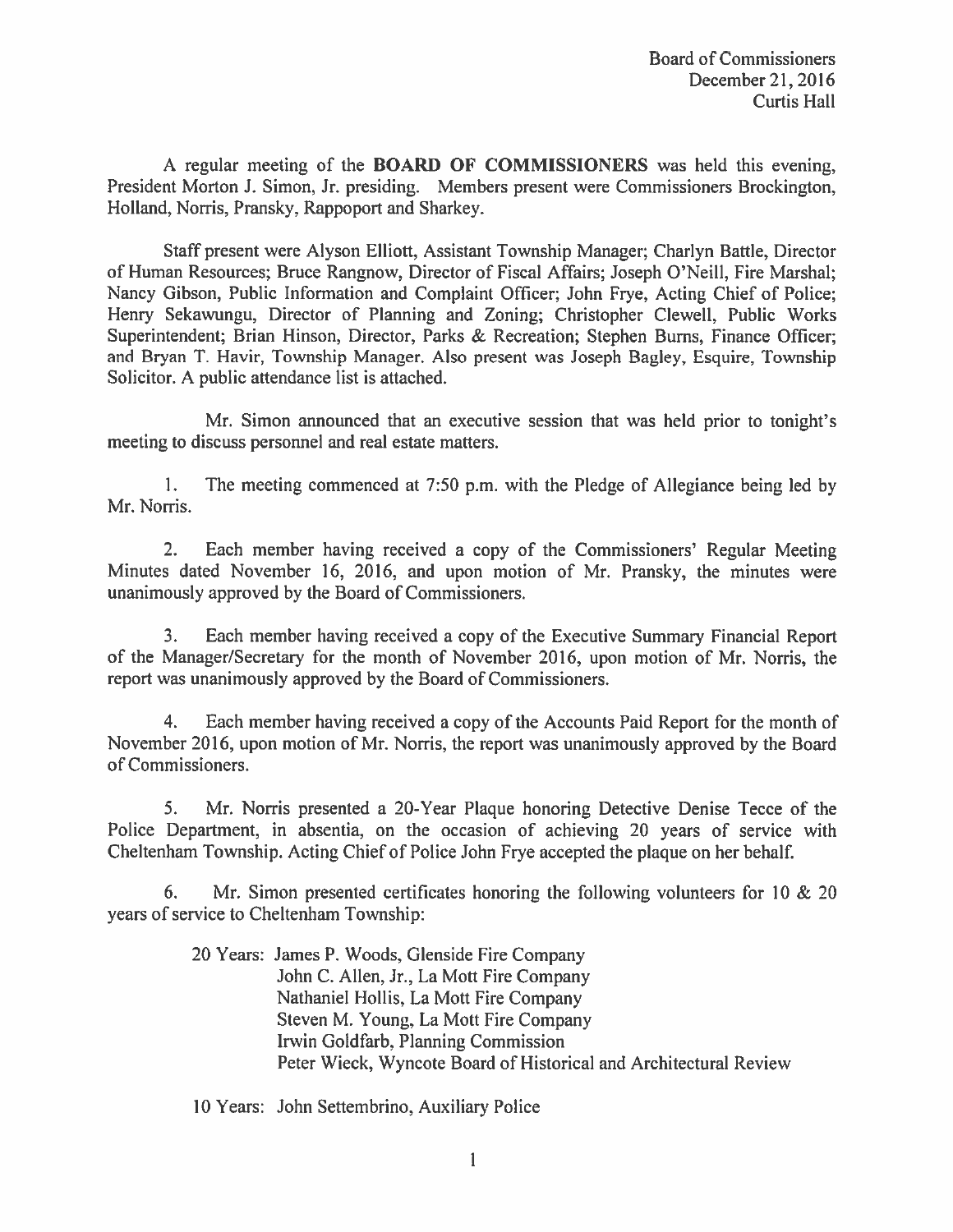A regular meeting of the **BOARD OF COMMISSIONERS** was held this evening, President Morton J. Simon, Jr. presiding. Members present were Commissioners Brockington, Holland, Norris, Pransky, Rappoport and Sharkey.

Staff present were Alyson Elliott, Assistant Township Manager; Charlyn Battle, Director of Human Resources; Bruce Rangnow, Director of Fiscal Affairs; Joseph O'Neill, Fire Marshal; Nancy Gibson, Public Information and Complaint Officer; John Frye, Acting Chief of Police; Henry Sekawungu, Director of Planning and Zoning; Christopher Clewell, Public Works Superintendent; Brian Hinson, Director, Parks & Recreation; Stephen Burns, Finance Officer; and Bryan T. Havir, Township Manager, Also present was Joseph Bagley, Esquire, Township Solicitor. A public attendance list is attached.

Mr. Simon announced that an executive session that was held prior to tonight's meeting to discuss personnel and real estate matters.

The meeting commenced at 7:50 p.m. with the Pledge of Allegiance being led by  $1_{\cdot}$ Mr. Norris.

 $2.$ Each member having received a copy of the Commissioners' Regular Meeting Minutes dated November 16, 2016, and upon motion of Mr. Pransky, the minutes were unanimously approved by the Board of Commissioners.

 $3.$ Each member having received a copy of the Executive Summary Financial Report of the Manager/Secretary for the month of November 2016, upon motion of Mr. Norris, the report was unanimously approved by the Board of Commissioners.

Each member having received a copy of the Accounts Paid Report for the month of  $4.$ November 2016, upon motion of Mr. Norris, the report was unanimously approved by the Board of Commissioners.

Mr. Norris presented a 20-Year Plaque honoring Detective Denise Tecce of the 5. Police Department, in absentia, on the occasion of achieving 20 years of service with Cheltenham Township. Acting Chief of Police John Frye accepted the plaque on her behalf.

6. Mr. Simon presented certificates honoring the following volunteers for 10  $& 20$ years of service to Cheltenham Township:

> 20 Years: James P. Woods, Glenside Fire Company John C. Allen, Jr., La Mott Fire Company Nathaniel Hollis, La Mott Fire Company Steven M. Young, La Mott Fire Company Irwin Goldfarb, Planning Commission Peter Wieck, Wyncote Board of Historical and Architectural Review

10 Years: John Settembrino, Auxiliary Police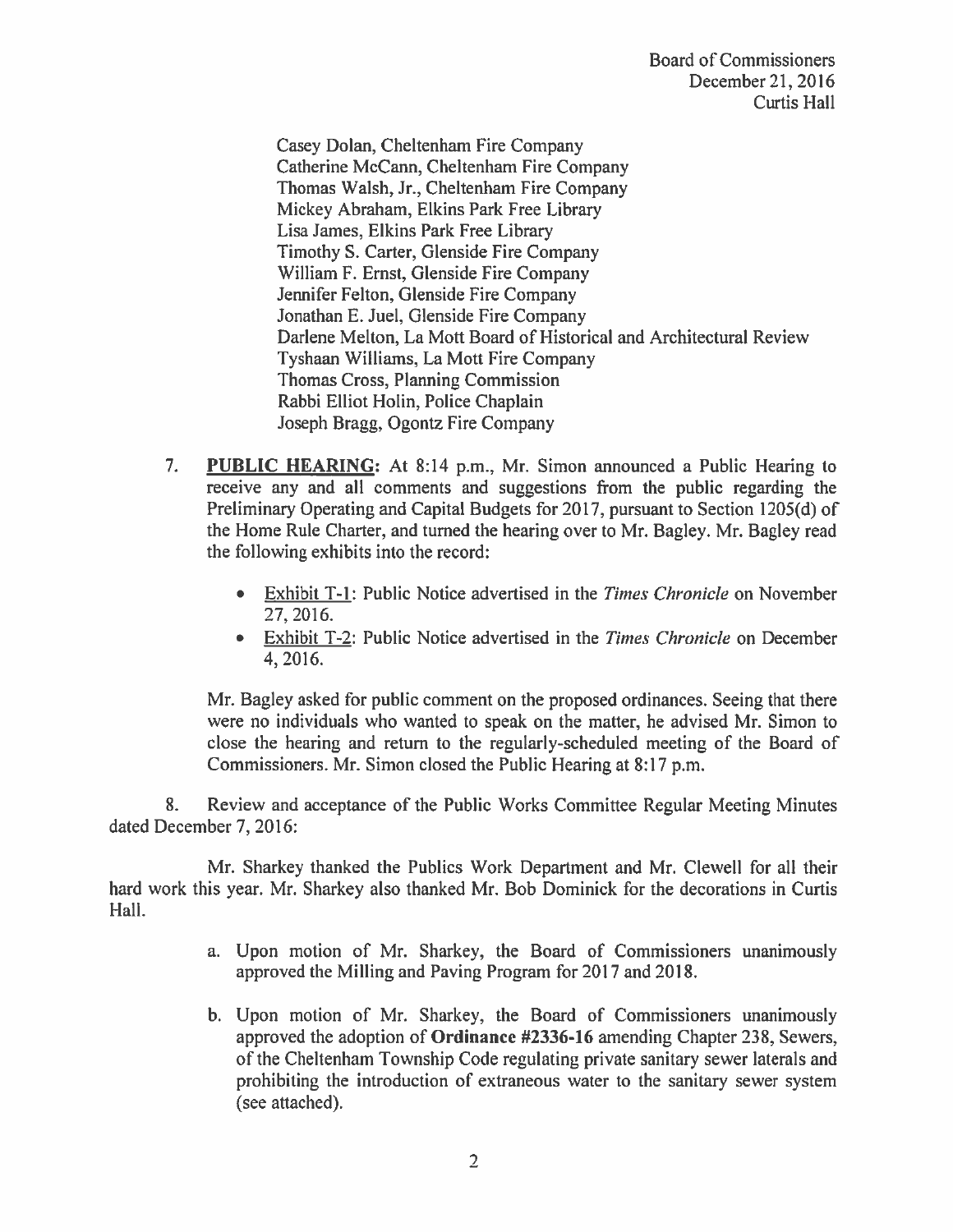Casey Dolan, Cheltenham Fire Company Catherine McCann, Cheltenham Fire Company Thomas Walsh, Jr., Cheltenham Fire Company Mickey Abraham, Elkins Park Free Library Lisa James, Elkins Park Free Library Timothy S. Carter, Glenside Fire Company William F. Ernst, Glenside Fire Company Jennifer Felton, Glenside Fire Company Jonathan E. Juel, Glenside Fire Company Darlene Melton, La Mott Board of Historical and Architectural Review Tyshaan Williams, La Mott Fire Company **Thomas Cross, Planning Commission** Rabbi Elliot Holin, Police Chaplain Joseph Bragg, Ogontz Fire Company

- $7.$ **PUBLIC HEARING:** At 8:14 p.m., Mr. Simon announced a Public Hearing to receive any and all comments and suggestions from the public regarding the Preliminary Operating and Capital Budgets for 2017, pursuant to Section 1205(d) of the Home Rule Charter, and turned the hearing over to Mr. Bagley. Mr. Bagley read the following exhibits into the record:
	- Exhibit T-1: Public Notice advertised in the Times Chronicle on November 27, 2016.
	- Exhibit T-2: Public Notice advertised in the *Times Chronicle* on December 4, 2016.

Mr. Bagley asked for public comment on the proposed ordinances. Seeing that there were no individuals who wanted to speak on the matter, he advised Mr. Simon to close the hearing and return to the regularly-scheduled meeting of the Board of Commissioners. Mr. Simon closed the Public Hearing at 8:17 p.m.

8. Review and acceptance of the Public Works Committee Regular Meeting Minutes dated December 7, 2016:

Mr. Sharkey thanked the Publics Work Department and Mr. Clewell for all their hard work this year. Mr. Sharkey also thanked Mr. Bob Dominick for the decorations in Curtis Hall.

- a. Upon motion of Mr. Sharkey, the Board of Commissioners unanimously approved the Milling and Paving Program for 2017 and 2018.
- b. Upon motion of Mr. Sharkey, the Board of Commissioners unanimously approved the adoption of Ordinance #2336-16 amending Chapter 238, Sewers, of the Cheltenham Township Code regulating private sanitary sewer laterals and prohibiting the introduction of extraneous water to the sanitary sewer system (see attached).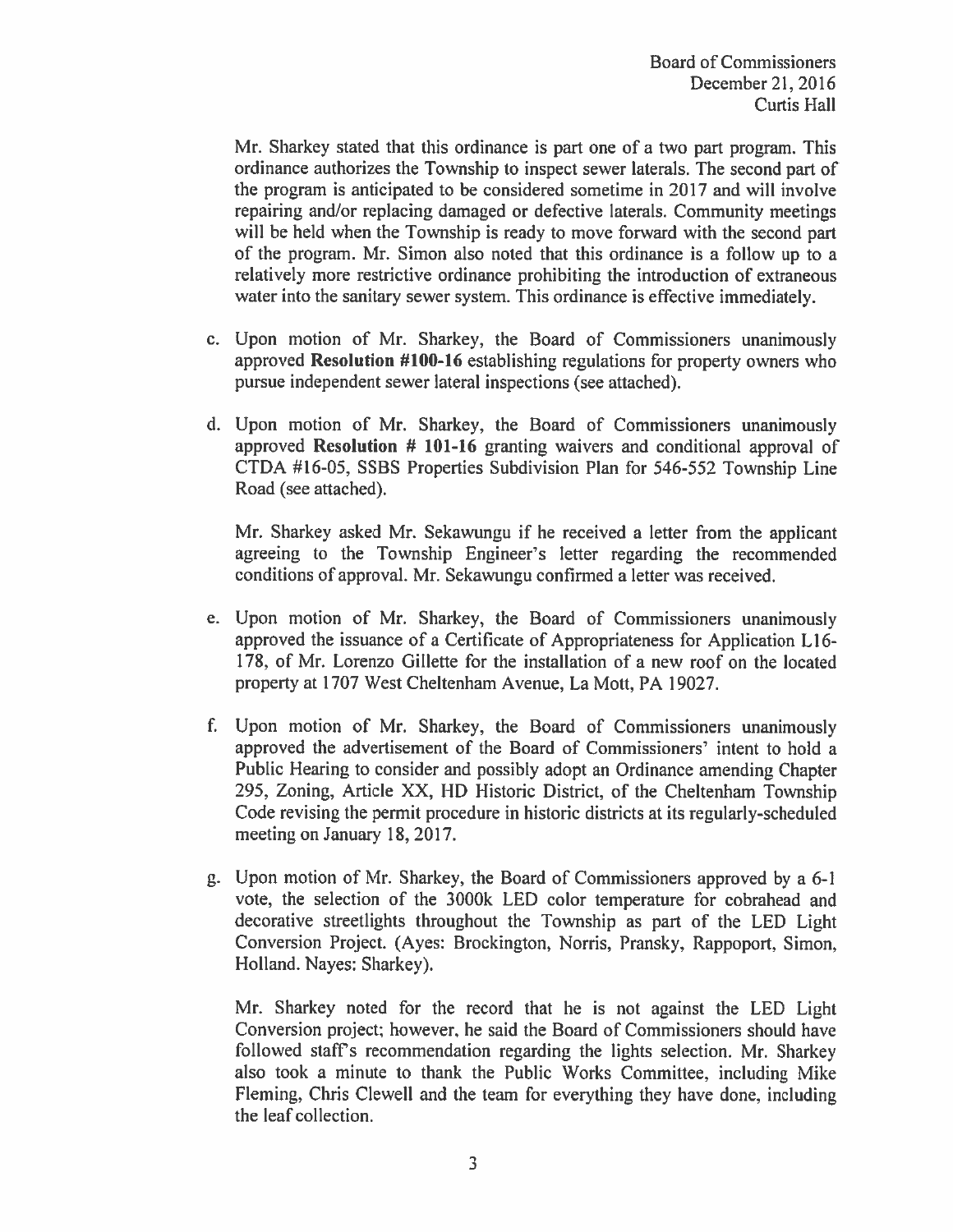Mr. Sharkey stated that this ordinance is part one of a two part program. This ordinance authorizes the Township to inspect sewer laterals. The second part of the program is anticipated to be considered sometime in 2017 and will involve repairing and/or replacing damaged or defective laterals. Community meetings will be held when the Township is ready to move forward with the second part of the program. Mr. Simon also noted that this ordinance is a follow up to a relatively more restrictive ordinance prohibiting the introduction of extraneous water into the sanitary sewer system. This ordinance is effective immediately.

- c. Upon motion of Mr. Sharkey, the Board of Commissioners unanimously approved Resolution #100-16 establishing regulations for property owners who pursue independent sewer lateral inspections (see attached).
- d. Upon motion of Mr. Sharkey, the Board of Commissioners unanimously approved Resolution # 101-16 granting waivers and conditional approval of CTDA #16-05, SSBS Properties Subdivision Plan for 546-552 Township Line Road (see attached).

Mr. Sharkey asked Mr. Sekawungu if he received a letter from the applicant agreeing to the Township Engineer's letter regarding the recommended conditions of approval. Mr. Sekawungu confirmed a letter was received.

- e. Upon motion of Mr. Sharkey, the Board of Commissioners unanimously approved the issuance of a Certificate of Appropriateness for Application L16-178, of Mr. Lorenzo Gillette for the installation of a new roof on the located property at 1707 West Cheltenham Avenue, La Mott, PA 19027.
- f. Upon motion of Mr. Sharkey, the Board of Commissioners unanimously approved the advertisement of the Board of Commissioners' intent to hold a Public Hearing to consider and possibly adopt an Ordinance amending Chapter 295, Zoning, Article XX, HD Historic District, of the Cheltenham Township Code revising the permit procedure in historic districts at its regularly-scheduled meeting on January 18, 2017.
- g. Upon motion of Mr. Sharkey, the Board of Commissioners approved by a 6-1 vote, the selection of the 3000k LED color temperature for cobrahead and decorative streetlights throughout the Township as part of the LED Light Conversion Project. (Ayes: Brockington, Norris, Pransky, Rappoport, Simon, Holland. Nayes: Sharkey).

Mr. Sharkey noted for the record that he is not against the LED Light Conversion project; however, he said the Board of Commissioners should have followed staff's recommendation regarding the lights selection. Mr. Sharkey also took a minute to thank the Public Works Committee, including Mike Fleming, Chris Clewell and the team for everything they have done, including the leaf collection.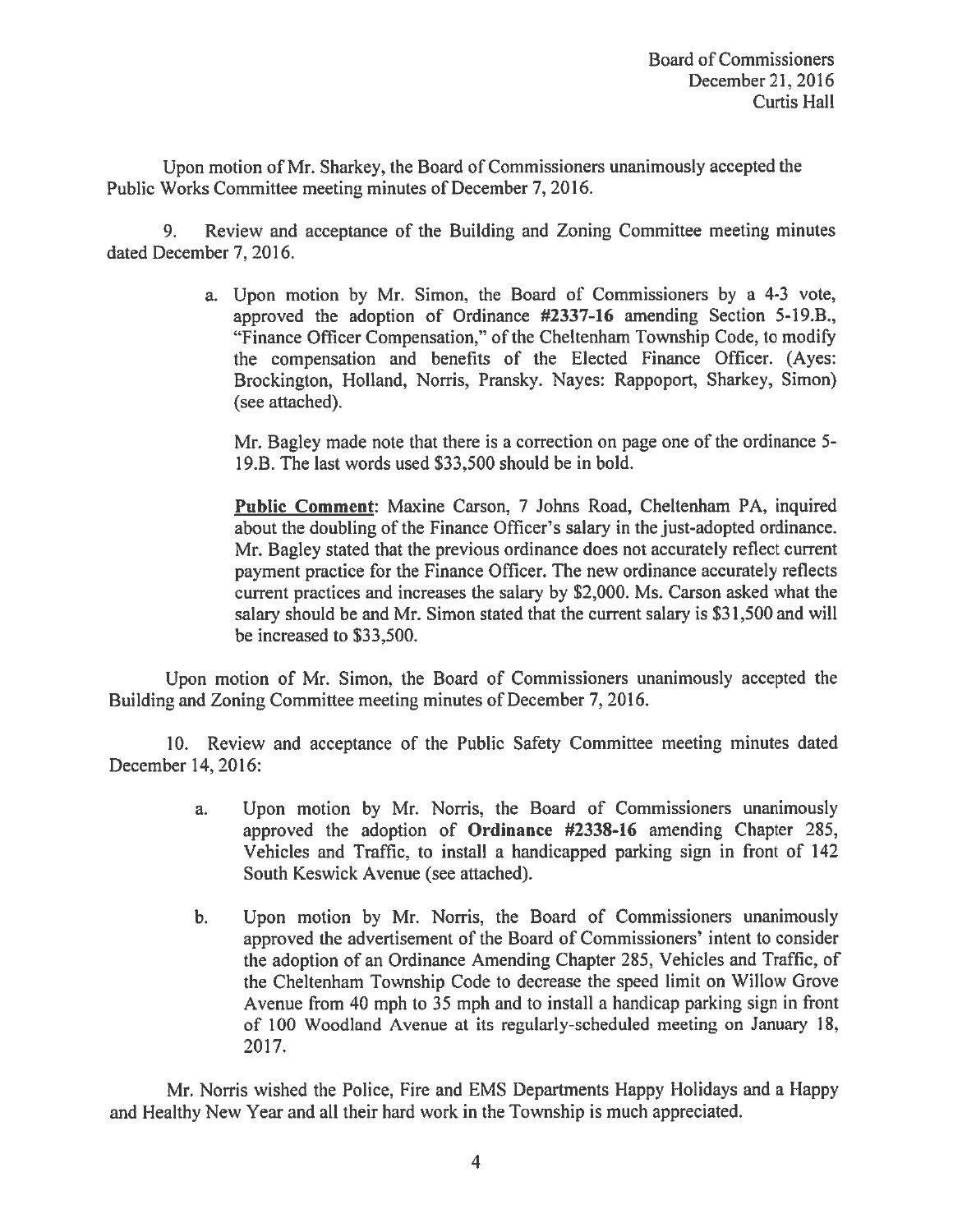Upon motion of Mr. Sharkey, the Board of Commissioners unanimously accepted the Public Works Committee meeting minutes of December 7, 2016.

Review and acceptance of the Building and Zoning Committee meeting minutes 9. dated December 7, 2016.

> a. Upon motion by Mr. Simon, the Board of Commissioners by a 4-3 vote, approved the adoption of Ordinance #2337-16 amending Section 5-19.B., "Finance Officer Compensation," of the Cheltenham Township Code, to modify the compensation and benefits of the Elected Finance Officer. (Ayes: Brockington, Holland, Norris, Pransky. Nayes: Rappoport, Sharkey, Simon) (see attached).

Mr. Bagley made note that there is a correction on page one of the ordinance 5-19.B. The last words used \$33,500 should be in bold.

Public Comment: Maxine Carson, 7 Johns Road, Cheltenham PA, inquired about the doubling of the Finance Officer's salary in the just-adopted ordinance. Mr. Bagley stated that the previous ordinance does not accurately reflect current payment practice for the Finance Officer. The new ordinance accurately reflects current practices and increases the salary by \$2,000. Ms. Carson asked what the salary should be and Mr. Simon stated that the current salary is \$31,500 and will be increased to \$33,500.

Upon motion of Mr. Simon, the Board of Commissioners unanimously accepted the Building and Zoning Committee meeting minutes of December 7, 2016.

10. Review and acceptance of the Public Safety Committee meeting minutes dated December 14, 2016:

- Upon motion by Mr. Norris, the Board of Commissioners unanimously  $a<sub>r</sub>$ approved the adoption of Ordinance #2338-16 amending Chapter 285, Vehicles and Traffic, to install a handicapped parking sign in front of 142 South Keswick Avenue (see attached).
- b. Upon motion by Mr. Norris, the Board of Commissioners unanimously approved the advertisement of the Board of Commissioners' intent to consider the adoption of an Ordinance Amending Chapter 285, Vehicles and Traffic, of the Cheltenham Township Code to decrease the speed limit on Willow Grove Avenue from 40 mph to 35 mph and to install a handicap parking sign in front of 100 Woodland Avenue at its regularly-scheduled meeting on January 18, 2017.

Mr. Norris wished the Police, Fire and EMS Departments Happy Holidays and a Happy and Healthy New Year and all their hard work in the Township is much appreciated.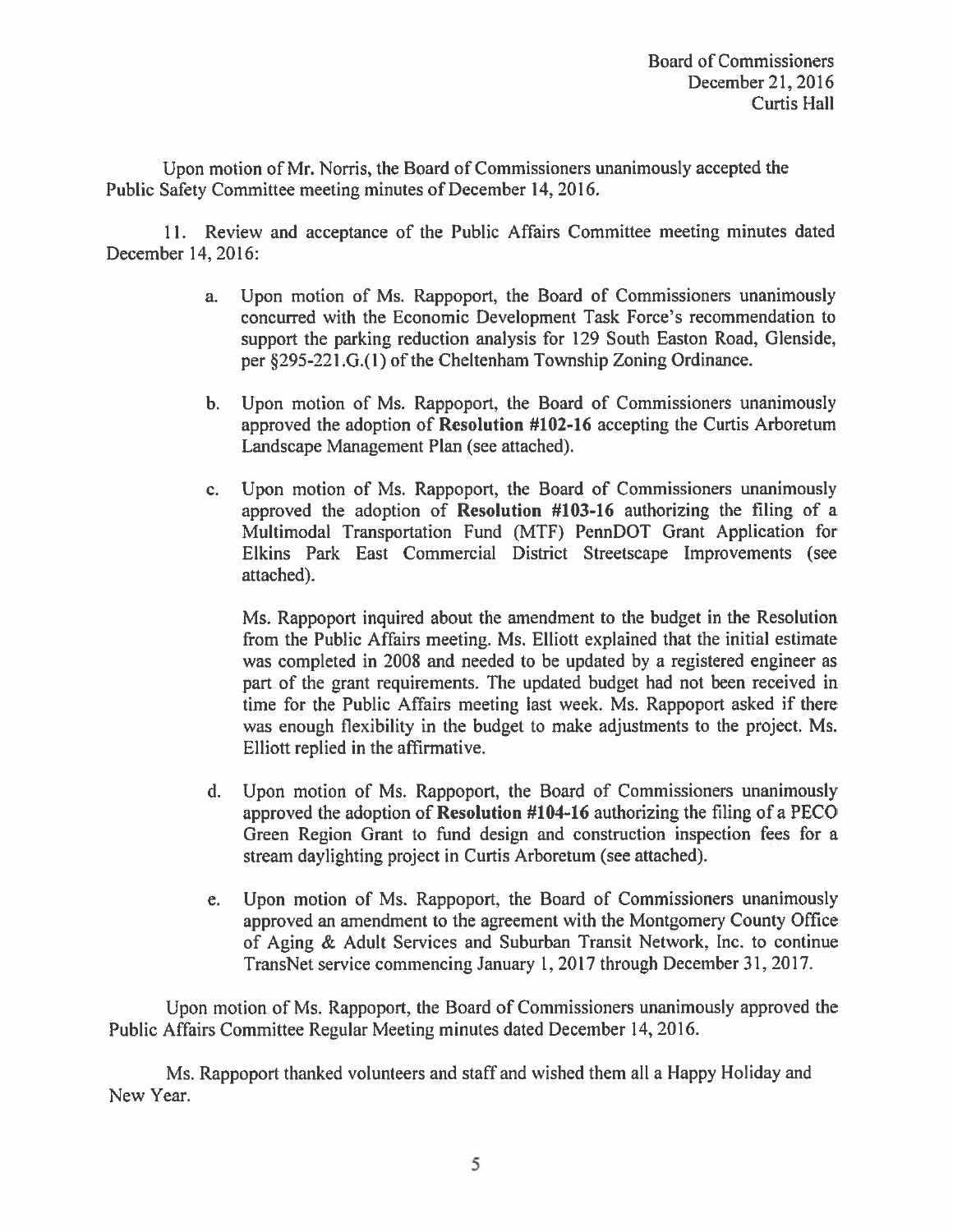Upon motion of Mr. Norris, the Board of Commissioners unanimously accepted the Public Safety Committee meeting minutes of December 14, 2016.

11. Review and acceptance of the Public Affairs Committee meeting minutes dated December 14, 2016:

- Upon motion of Ms. Rappoport, the Board of Commissioners unanimously a. concurred with the Economic Development Task Force's recommendation to support the parking reduction analysis for 129 South Easton Road, Glenside, per §295-221.G.(1) of the Cheltenham Township Zoning Ordinance.
- b. Upon motion of Ms. Rappoport, the Board of Commissioners unanimously approved the adoption of Resolution #102-16 accepting the Curtis Arboretum Landscape Management Plan (see attached).
- Upon motion of Ms. Rappoport, the Board of Commissioners unanimously  $\mathbf{c}$ . approved the adoption of Resolution #103-16 authorizing the filing of a Multimodal Transportation Fund (MTF) PennDOT Grant Application for Elkins Park East Commercial District Streetscape Improvements (see attached).

Ms. Rappoport inquired about the amendment to the budget in the Resolution from the Public Affairs meeting. Ms. Elliott explained that the initial estimate was completed in 2008 and needed to be updated by a registered engineer as part of the grant requirements. The updated budget had not been received in time for the Public Affairs meeting last week. Ms. Rappoport asked if there was enough flexibility in the budget to make adjustments to the project. Ms. Elliott replied in the affirmative.

- Upon motion of Ms. Rappoport, the Board of Commissioners unanimously d. approved the adoption of Resolution #104-16 authorizing the filing of a PECO Green Region Grant to fund design and construction inspection fees for a stream daylighting project in Curtis Arboretum (see attached).
- Upon motion of Ms. Rappoport, the Board of Commissioners unanimously e. approved an amendment to the agreement with the Montgomery County Office of Aging & Adult Services and Suburban Transit Network, Inc. to continue TransNet service commencing January 1, 2017 through December 31, 2017.

Upon motion of Ms. Rappoport, the Board of Commissioners unanimously approved the Public Affairs Committee Regular Meeting minutes dated December 14, 2016.

Ms. Rappoport thanked volunteers and staff and wished them all a Happy Holiday and New Year.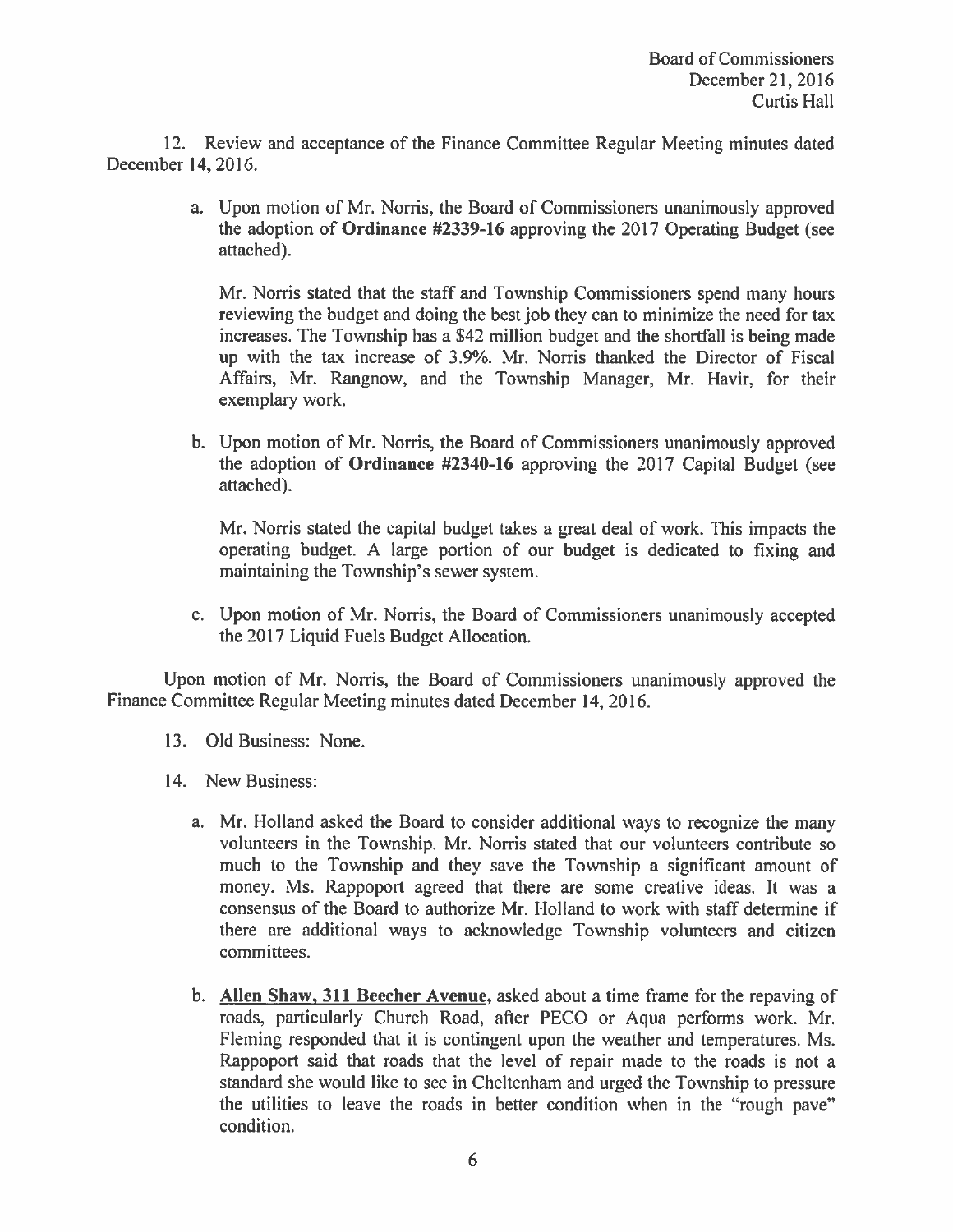12. Review and acceptance of the Finance Committee Regular Meeting minutes dated December 14, 2016.

> a. Upon motion of Mr. Norris, the Board of Commissioners unanimously approved the adoption of Ordinance #2339-16 approving the 2017 Operating Budget (see attached).

Mr. Norris stated that the staff and Township Commissioners spend many hours reviewing the budget and doing the best job they can to minimize the need for tax increases. The Township has a \$42 million budget and the shortfall is being made up with the tax increase of 3.9%. Mr. Norris thanked the Director of Fiscal Affairs, Mr. Rangnow, and the Township Manager, Mr. Havir, for their exemplary work.

b. Upon motion of Mr. Norris, the Board of Commissioners unanimously approved the adoption of Ordinance #2340-16 approving the 2017 Capital Budget (see attached).

Mr. Norris stated the capital budget takes a great deal of work. This impacts the operating budget. A large portion of our budget is dedicated to fixing and maintaining the Township's sewer system.

c. Upon motion of Mr. Norris, the Board of Commissioners unanimously accepted the 2017 Liquid Fuels Budget Allocation.

Upon motion of Mr. Norris, the Board of Commissioners unanimously approved the Finance Committee Regular Meeting minutes dated December 14, 2016.

- 13. Old Business: None.
- 14. New Business:
	- a. Mr. Holland asked the Board to consider additional ways to recognize the many volunteers in the Township. Mr. Norris stated that our volunteers contribute so much to the Township and they save the Township a significant amount of money. Ms. Rappoport agreed that there are some creative ideas. It was a consensus of the Board to authorize Mr. Holland to work with staff determine if there are additional ways to acknowledge Township volunteers and citizen committees.
	- b. Allen Shaw, 311 Beecher Avenue, asked about a time frame for the repaving of roads, particularly Church Road, after PECO or Aqua performs work. Mr. Fleming responded that it is contingent upon the weather and temperatures. Ms. Rappoport said that roads that the level of repair made to the roads is not a standard she would like to see in Cheltenham and urged the Township to pressure the utilities to leave the roads in better condition when in the "rough pave" condition.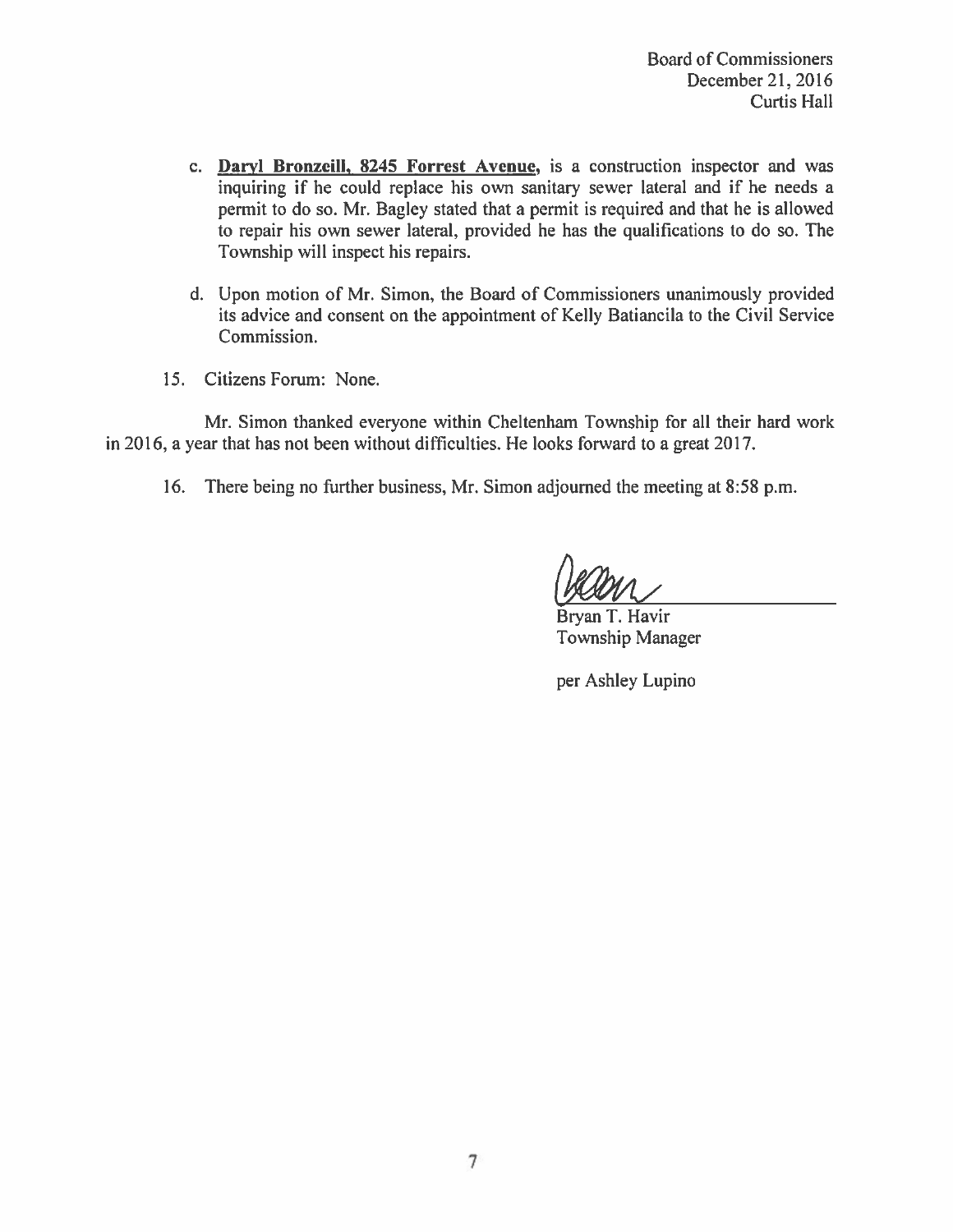- c. Daryl Bronzeill, 8245 Forrest Avenue, is a construction inspector and was inquiring if he could replace his own sanitary sewer lateral and if he needs a permit to do so. Mr. Bagley stated that a permit is required and that he is allowed to repair his own sewer lateral, provided he has the qualifications to do so. The Township will inspect his repairs.
- d. Upon motion of Mr. Simon, the Board of Commissioners unanimously provided its advice and consent on the appointment of Kelly Batiancila to the Civil Service Commission.
- 15. Citizens Forum: None.

Mr. Simon thanked everyone within Cheltenham Township for all their hard work in 2016, a year that has not been without difficulties. He looks forward to a great 2017.

16. There being no further business, Mr. Simon adjourned the meeting at 8:58 p.m.

Bryan T. Havir Township Manager

per Ashley Lupino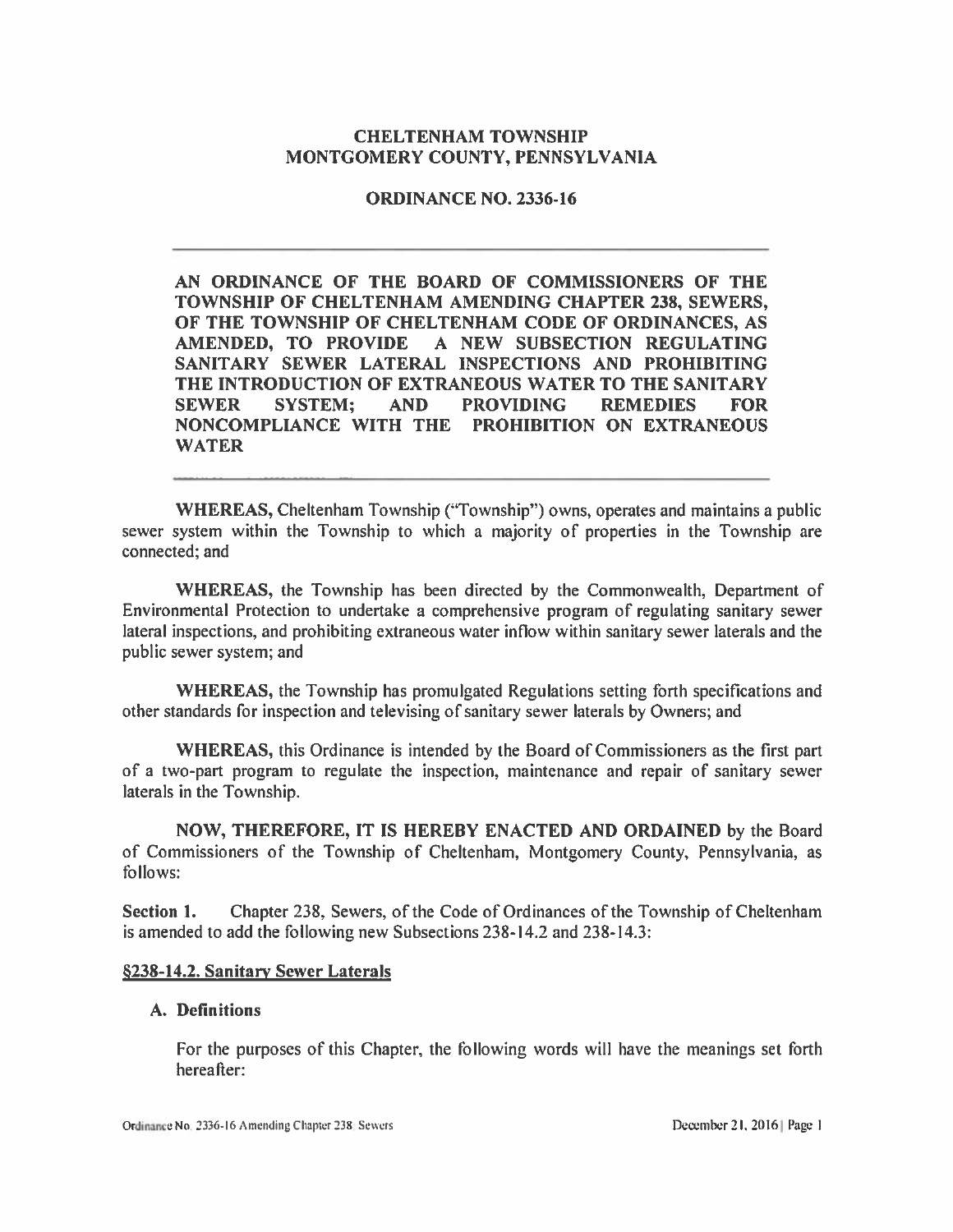### **CHELTENHAM TOWNSHIP** MONTGOMERY COUNTY, PENNSYLVANIA

### **ORDINANCE NO. 2336-16**

AN ORDINANCE OF THE BOARD OF COMMISSIONERS OF THE TOWNSHIP OF CHELTENHAM AMENDING CHAPTER 238, SEWERS, OF THE TOWNSHIP OF CHELTENHAM CODE OF ORDINANCES, AS AMENDED, TO PROVIDE A NEW SUBSECTION REGULATING SANITARY SEWER LATERAL INSPECTIONS AND PROHIBITING THE INTRODUCTION OF EXTRANEOUS WATER TO THE SANITARY **SYSTEM: AND REMEDIES SEWER PROVIDING FOR** NONCOMPLIANCE WITH THE PROHIBITION ON EXTRANEOUS **WATER** 

WHEREAS, Cheltenham Township ("Township") owns, operates and maintains a public sewer system within the Township to which a majority of properties in the Township are connected: and

WHEREAS, the Township has been directed by the Commonwealth, Department of Environmental Protection to undertake a comprehensive program of regulating sanitary sewer lateral inspections, and prohibiting extraneous water inflow within sanitary sewer laterals and the public sewer system; and

WHEREAS, the Township has promulgated Regulations setting forth specifications and other standards for inspection and televising of sanitary sewer laterals by Owners; and

**WHEREAS**, this Ordinance is intended by the Board of Commissioners as the first part of a two-part program to regulate the inspection, maintenance and repair of sanitary sewer laterals in the Township.

NOW, THEREFORE, IT IS HEREBY ENACTED AND ORDAINED by the Board of Commissioners of the Township of Cheltenham, Montgomery County, Pennsylvania, as follows:

Section 1. Chapter 238, Sewers, of the Code of Ordinances of the Township of Cheltenham is amended to add the following new Subsections 238-14.2 and 238-14.3:

#### §238-14.2. Sanitary Sewer Laterals

#### A. Definitions

For the purposes of this Chapter, the following words will have the meanings set forth hereafter: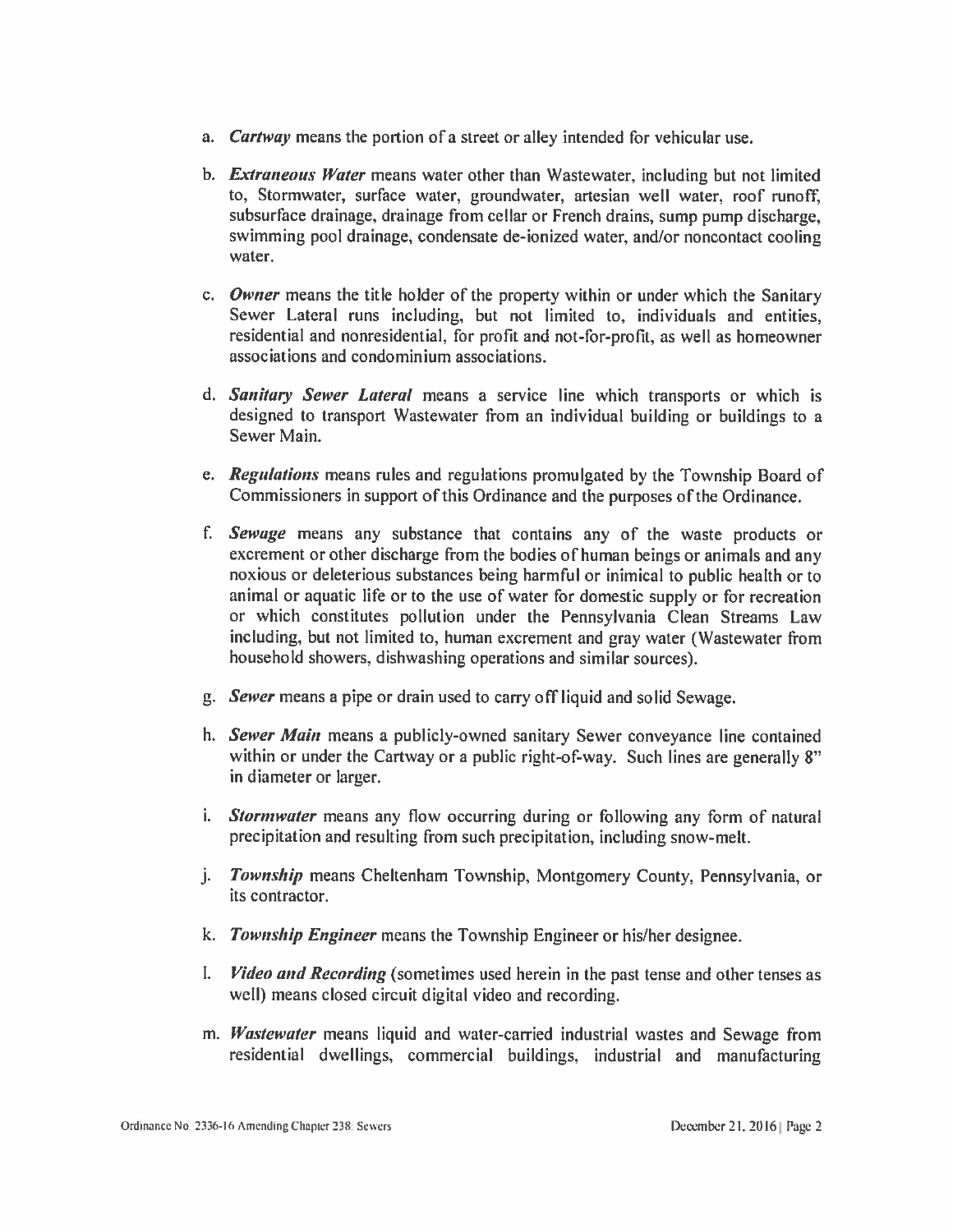- a. *Cartway* means the portion of a street or alley intended for vehicular use.
- b. *Extraneous Water* means water other than Wastewater, including but not limited to, Stormwater, surface water, groundwater, artesian well water, roof runoff, subsurface drainage, drainage from cellar or French drains, sump pump discharge, swimming pool drainage, condensate de-ionized water, and/or noncontact cooling water.
- c. Owner means the title holder of the property within or under which the Sanitary Sewer Lateral runs including, but not limited to, individuals and entities, residential and nonresidential, for profit and not-for-profit, as well as homeowner associations and condominium associations.
- d. Sanitary Sewer Lateral means a service line which transports or which is designed to transport Wastewater from an individual building or buildings to a Sewer Main.
- e. Regulations means rules and regulations promulgated by the Township Board of Commissioners in support of this Ordinance and the purposes of the Ordinance.
- f. Sewage means any substance that contains any of the waste products or excrement or other discharge from the bodies of human beings or animals and any noxious or deleterious substances being harmful or inimical to public health or to animal or aquatic life or to the use of water for domestic supply or for recreation or which constitutes pollution under the Pennsylvania Clean Streams Law including, but not limited to, human excrement and gray water (Wastewater from household showers, dishwashing operations and similar sources).
- g. Sewer means a pipe or drain used to carry off liquid and solid Sewage.
- h. Sewer Main means a publicly-owned sanitary Sewer conveyance line contained within or under the Cartway or a public right-of-way. Such lines are generally 8" in diameter or larger.
- i. Stormwater means any flow occurring during or following any form of natural precipitation and resulting from such precipitation, including snow-melt.
- j. *Township* means Cheltenham Township, Montgomery County, Pennsylvania, or its contractor.
- k. Township Engineer means the Township Engineer or his/her designee.
- I. *Video and Recording* (sometimes used herein in the past tense and other tenses as well) means closed circuit digital video and recording.
- m. Wastewater means liquid and water-carried industrial wastes and Sewage from residential dwellings, commercial buildings, industrial and manufacturing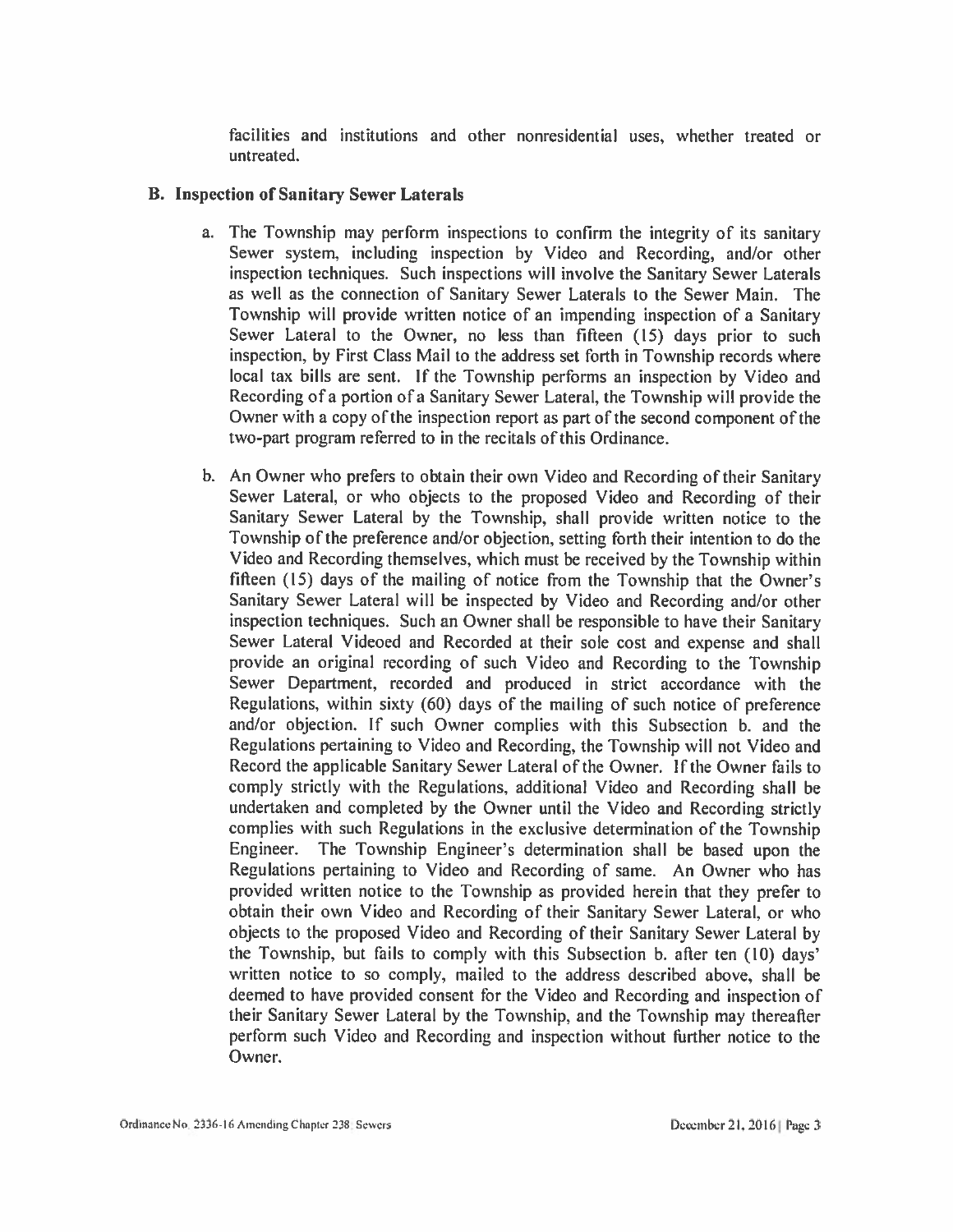facilities and institutions and other nonresidential uses, whether treated or untreated.

#### **B. Inspection of Sanitary Sewer Laterals**

- a. The Township may perform inspections to confirm the integrity of its sanitary Sewer system, including inspection by Video and Recording, and/or other inspection techniques. Such inspections will involve the Sanitary Sewer Laterals as well as the connection of Sanitary Sewer Laterals to the Sewer Main. The Township will provide written notice of an impending inspection of a Sanitary Sewer Lateral to the Owner, no less than fifteen (15) days prior to such inspection, by First Class Mail to the address set forth in Township records where local tax bills are sent. If the Township performs an inspection by Video and Recording of a portion of a Sanitary Sewer Lateral, the Township will provide the Owner with a copy of the inspection report as part of the second component of the two-part program referred to in the recitals of this Ordinance.
- b. An Owner who prefers to obtain their own Video and Recording of their Sanitary Sewer Lateral, or who objects to the proposed Video and Recording of their Sanitary Sewer Lateral by the Township, shall provide written notice to the Township of the preference and/or objection, setting forth their intention to do the Video and Recording themselves, which must be received by the Township within fifteen (15) days of the mailing of notice from the Township that the Owner's Sanitary Sewer Lateral will be inspected by Video and Recording and/or other inspection techniques. Such an Owner shall be responsible to have their Sanitary Sewer Lateral Videoed and Recorded at their sole cost and expense and shall provide an original recording of such Video and Recording to the Township Sewer Department, recorded and produced in strict accordance with the Regulations, within sixty (60) days of the mailing of such notice of preference and/or objection. If such Owner complies with this Subsection b. and the Regulations pertaining to Video and Recording, the Township will not Video and Record the applicable Sanitary Sewer Lateral of the Owner. If the Owner fails to comply strictly with the Regulations, additional Video and Recording shall be undertaken and completed by the Owner until the Video and Recording strictly complies with such Regulations in the exclusive determination of the Township Engineer. The Township Engineer's determination shall be based upon the Regulations pertaining to Video and Recording of same. An Owner who has provided written notice to the Township as provided herein that they prefer to obtain their own Video and Recording of their Sanitary Sewer Lateral, or who objects to the proposed Video and Recording of their Sanitary Sewer Lateral by the Township, but fails to comply with this Subsection b. after ten (10) days' written notice to so comply, mailed to the address described above, shall be deemed to have provided consent for the Video and Recording and inspection of their Sanitary Sewer Lateral by the Township, and the Township may thereafter perform such Video and Recording and inspection without further notice to the Owner.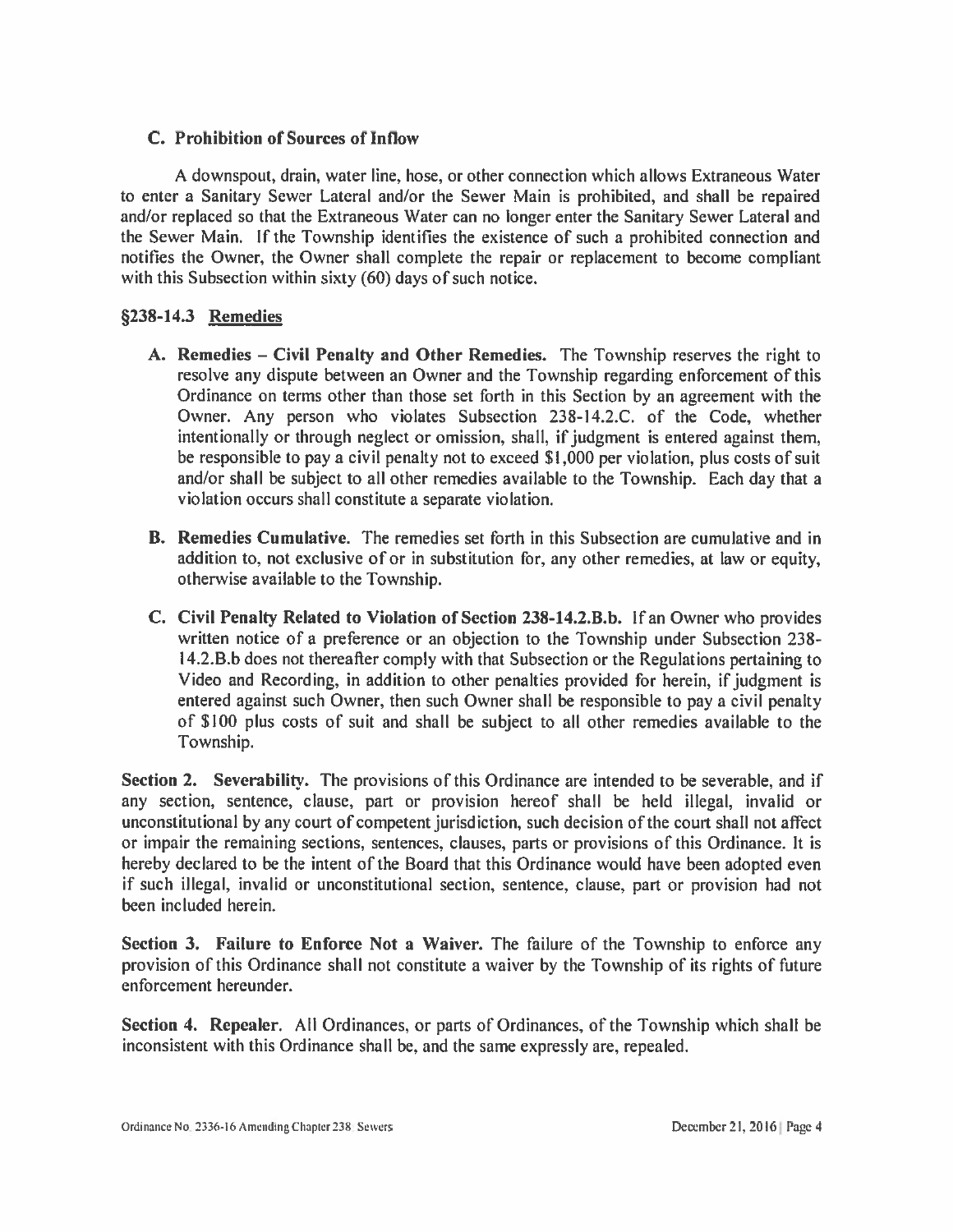## C. Prohibition of Sources of Inflow

A downspout, drain, water line, hose, or other connection which allows Extraneous Water to enter a Sanitary Sewer Lateral and/or the Sewer Main is prohibited, and shall be repaired and/or replaced so that the Extraneous Water can no longer enter the Sanitary Sewer Lateral and the Sewer Main. If the Township identifies the existence of such a prohibited connection and notifies the Owner, the Owner shall complete the repair or replacement to become compliant with this Subsection within sixty (60) days of such notice.

## §238-14.3 Remedies

- A. Remedies Civil Penalty and Other Remedies. The Township reserves the right to resolve any dispute between an Owner and the Township regarding enforcement of this Ordinance on terms other than those set forth in this Section by an agreement with the Owner. Any person who violates Subsection 238-14.2.C. of the Code, whether intentionally or through neglect or omission, shall, if judgment is entered against them, be responsible to pay a civil penalty not to exceed \$1,000 per violation, plus costs of suit and/or shall be subject to all other remedies available to the Township. Each day that a violation occurs shall constitute a separate violation.
- **B.** Remedies Cumulative. The remedies set forth in this Subsection are cumulative and in addition to, not exclusive of or in substitution for, any other remedies, at law or equity, otherwise available to the Township.
- C. Civil Penalty Related to Violation of Section 238-14.2.B.b. If an Owner who provides written notice of a preference or an objection to the Township under Subsection 238-14.2.B.b does not thereafter comply with that Subsection or the Regulations pertaining to Video and Recording, in addition to other penalties provided for herein, if judgment is entered against such Owner, then such Owner shall be responsible to pay a civil penalty of \$100 plus costs of suit and shall be subject to all other remedies available to the Township.

Section 2. Severability. The provisions of this Ordinance are intended to be severable, and if any section, sentence, clause, part or provision hereof shall be held illegal, invalid or unconstitutional by any court of competent jurisdiction, such decision of the court shall not affect or impair the remaining sections, sentences, clauses, parts or provisions of this Ordinance. It is hereby declared to be the intent of the Board that this Ordinance would have been adopted even if such illegal, invalid or unconstitutional section, sentence, clause, part or provision had not been included herein.

Section 3. Failure to Enforce Not a Waiver. The failure of the Township to enforce any provision of this Ordinance shall not constitute a waiver by the Township of its rights of future enforcement hereunder.

Section 4. Repealer. All Ordinances, or parts of Ordinances, of the Township which shall be inconsistent with this Ordinance shall be, and the same expressly are, repealed.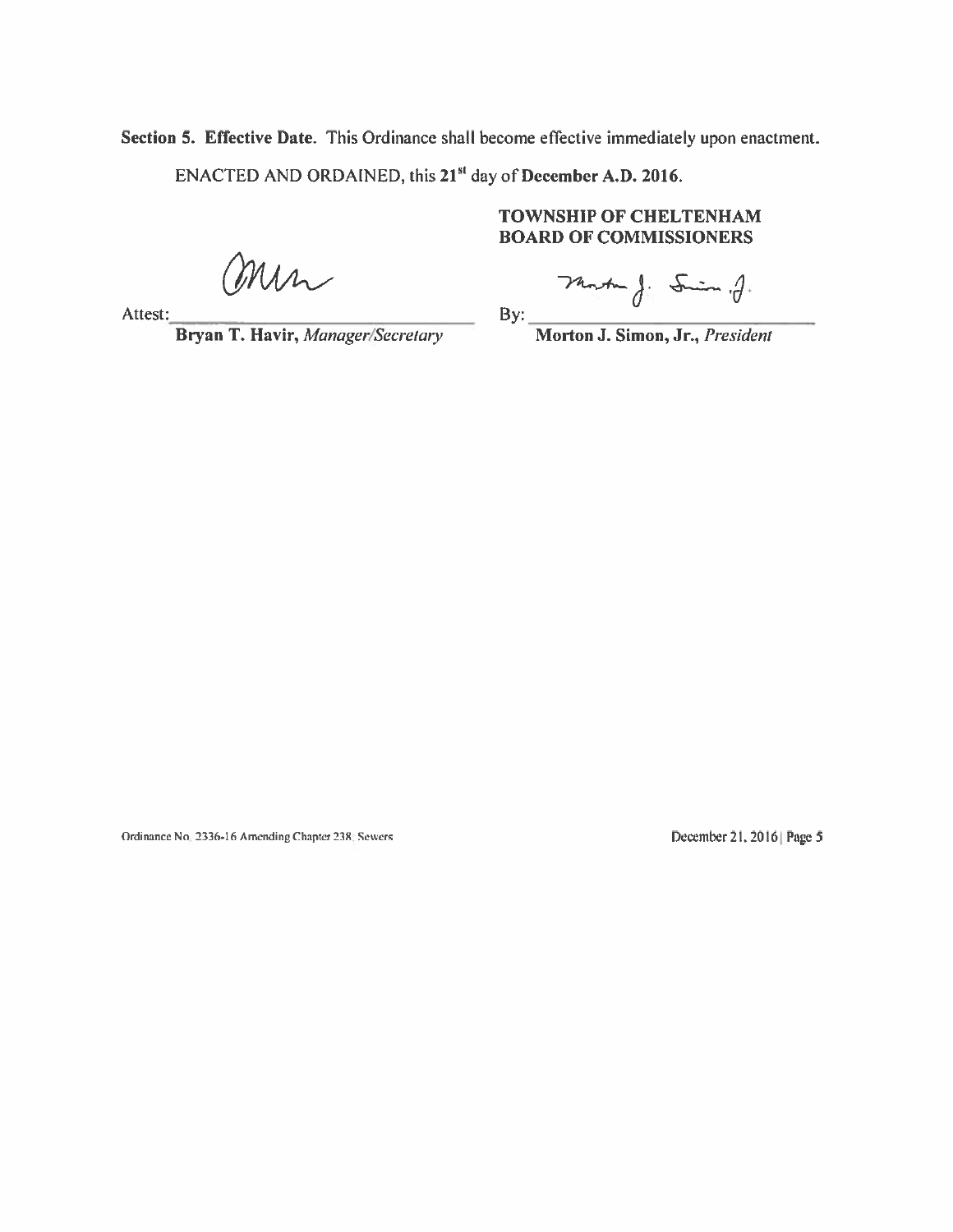Section 5. Effective Date. This Ordinance shall become effective immediately upon enactment. ENACTED AND ORDAINED, this 21<sup>st</sup> day of December A.D. 2016.

min

Attest:

Bryan T. Havir, Manager/Secretary

**TOWNSHIP OF CHELTENHAM BOARD OF COMMISSIONERS** 

Martin J: Smin. J.

By:

Morton J. Simon, Jr., President

Ordinance No. 2336-16 Amending Chapter 238: Sewers

December 21, 2016 | Page 5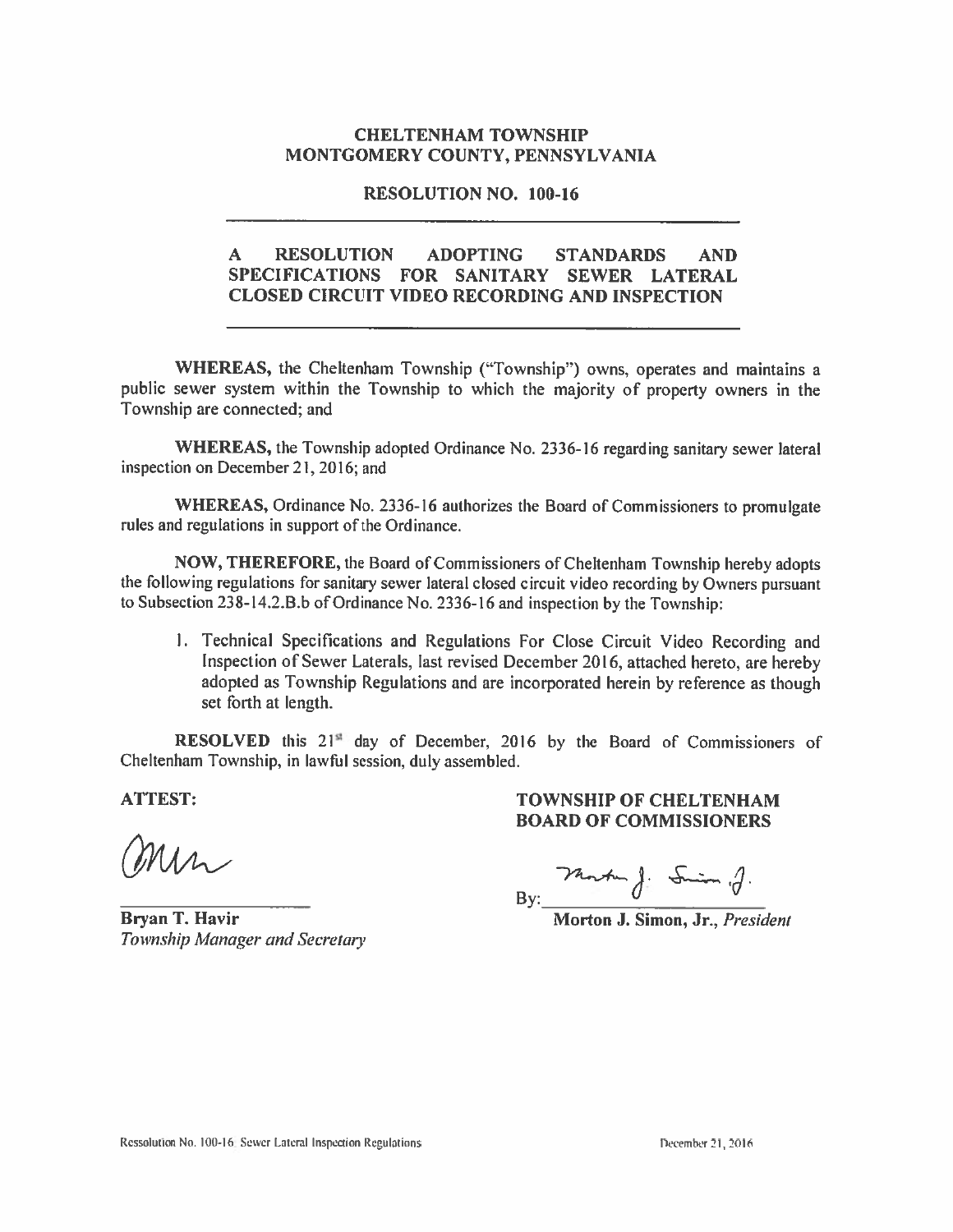### **CHELTENHAM TOWNSHIP** MONTGOMERY COUNTY, PENNSYLVANIA

#### **RESOLUTION NO. 100-16**

#### $\mathbf{A}$ **RESOLUTION ADOPTING STANDARDS AND** SPECIFICATIONS FOR SANITARY SEWER LATERAL **CLOSED CIRCUIT VIDEO RECORDING AND INSPECTION**

WHEREAS, the Cheltenham Township ("Township") owns, operates and maintains a public sewer system within the Township to which the majority of property owners in the Township are connected; and

WHEREAS, the Township adopted Ordinance No. 2336-16 regarding sanitary sewer lateral inspection on December 21, 2016; and

WHEREAS, Ordinance No. 2336-16 authorizes the Board of Commissioners to promulgate rules and regulations in support of the Ordinance.

NOW, THEREFORE, the Board of Commissioners of Cheltenham Township hereby adopts the following regulations for sanitary sewer lateral closed circuit video recording by Owners pursuant to Subsection 238-14.2.B.b of Ordinance No. 2336-16 and inspection by the Township:

1. Technical Specifications and Regulations For Close Circuit Video Recording and Inspection of Sewer Laterals, last revised December 2016, attached hereto, are hereby adopted as Township Regulations and are incorporated herein by reference as though set forth at length.

RESOLVED this 21<sup>st</sup> day of December, 2016 by the Board of Commissioners of Cheltenham Township, in lawful session, duly assembled.

**ATTEST:** 

 $M_{\Lambda}$ 

**Bryan T. Havir** Township Manager and Secretary

## **TOWNSHIP OF CHELTENHAM BOARD OF COMMISSIONERS**

Monten J: Smin .J.  $By:$ 

Morton J. Simon, Jr., President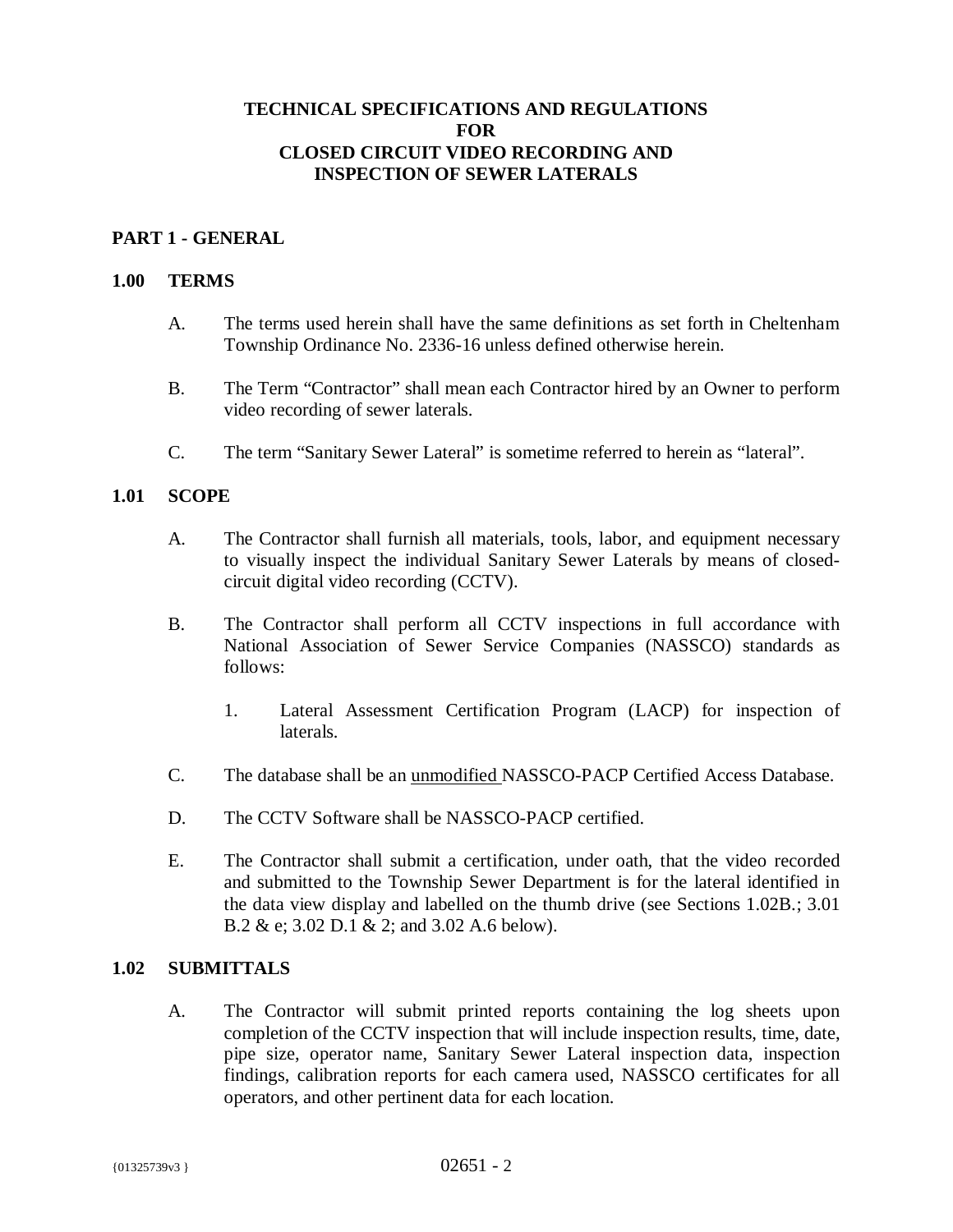## **TECHNICAL SPECIFICATIONS AND REGULATIONS FOR CLOSED CIRCUIT VIDEO RECORDING AND INSPECTION OF SEWER LATERALS**

#### **PART 1 - GENERAL**

#### **1.00 TERMS**

- A. The terms used herein shall have the same definitions as set forth in Cheltenham Township Ordinance No. 2336-16 unless defined otherwise herein.
- B. The Term "Contractor" shall mean each Contractor hired by an Owner to perform video recording of sewer laterals.
- C. The term "Sanitary Sewer Lateral" is sometime referred to herein as "lateral".

#### **1.01 SCOPE**

- A. The Contractor shall furnish all materials, tools, labor, and equipment necessary to visually inspect the individual Sanitary Sewer Laterals by means of closedcircuit digital video recording (CCTV).
- B. The Contractor shall perform all CCTV inspections in full accordance with National Association of Sewer Service Companies (NASSCO) standards as follows:
	- 1. Lateral Assessment Certification Program (LACP) for inspection of laterals.
- C. The database shall be an unmodified NASSCO-PACP Certified Access Database.
- D. The CCTV Software shall be NASSCO-PACP certified.
- E. The Contractor shall submit a certification, under oath, that the video recorded and submitted to the Township Sewer Department is for the lateral identified in the data view display and labelled on the thumb drive (see Sections 1.02B.; 3.01 B.2 & e; 3.02 D.1 & 2; and 3.02 A.6 below).

#### **1.02 SUBMITTALS**

A. The Contractor will submit printed reports containing the log sheets upon completion of the CCTV inspection that will include inspection results, time, date, pipe size, operator name, Sanitary Sewer Lateral inspection data, inspection findings, calibration reports for each camera used, NASSCO certificates for all operators, and other pertinent data for each location.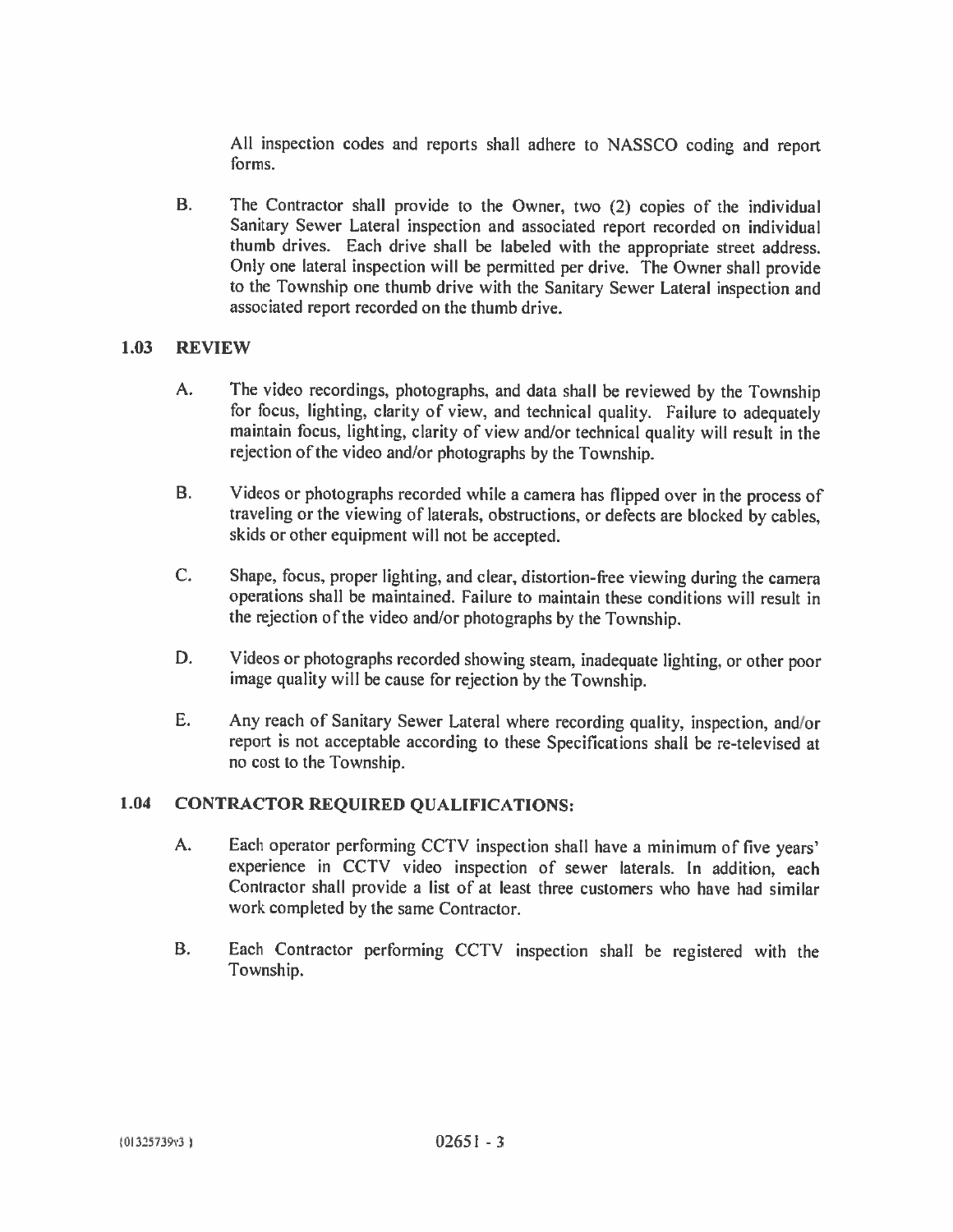All inspection codes and reports shall adhere to NASSCO coding and report forms.

 $B<sub>1</sub>$ The Contractor shall provide to the Owner, two (2) copies of the individual Sanitary Sewer Lateral inspection and associated report recorded on individual thumb drives. Each drive shall be labeled with the appropriate street address. Only one lateral inspection will be permitted per drive. The Owner shall provide to the Township one thumb drive with the Sanitary Sewer Lateral inspection and associated report recorded on the thumb drive.

#### $1.03$ **REVIEW**

- $A_{1}$ The video recordings, photographs, and data shall be reviewed by the Township for focus, lighting, clarity of view, and technical quality. Failure to adequately maintain focus, lighting, clarity of view and/or technical quality will result in the rejection of the video and/or photographs by the Township.
- **B.** Videos or photographs recorded while a camera has flipped over in the process of traveling or the viewing of laterals, obstructions, or defects are blocked by cables, skids or other equipment will not be accepted.
- $C_{\star}$ Shape, focus, proper lighting, and clear, distortion-free viewing during the camera operations shall be maintained. Failure to maintain these conditions will result in the rejection of the video and/or photographs by the Township.
- D. Videos or photographs recorded showing steam, inadequate lighting, or other poor image quality will be cause for rejection by the Township.
- E. Any reach of Sanitary Sewer Lateral where recording quality, inspection, and/or report is not acceptable according to these Specifications shall be re-televised at no cost to the Township.

#### 1.04 **CONTRACTOR REQUIRED QUALIFICATIONS:**

- A. Each operator performing CCTV inspection shall have a minimum of five years' experience in CCTV video inspection of sewer laterals. In addition, each Contractor shall provide a list of at least three customers who have had similar work completed by the same Contractor.
- **B.** Each Contractor performing CCTV inspection shall be registered with the Township.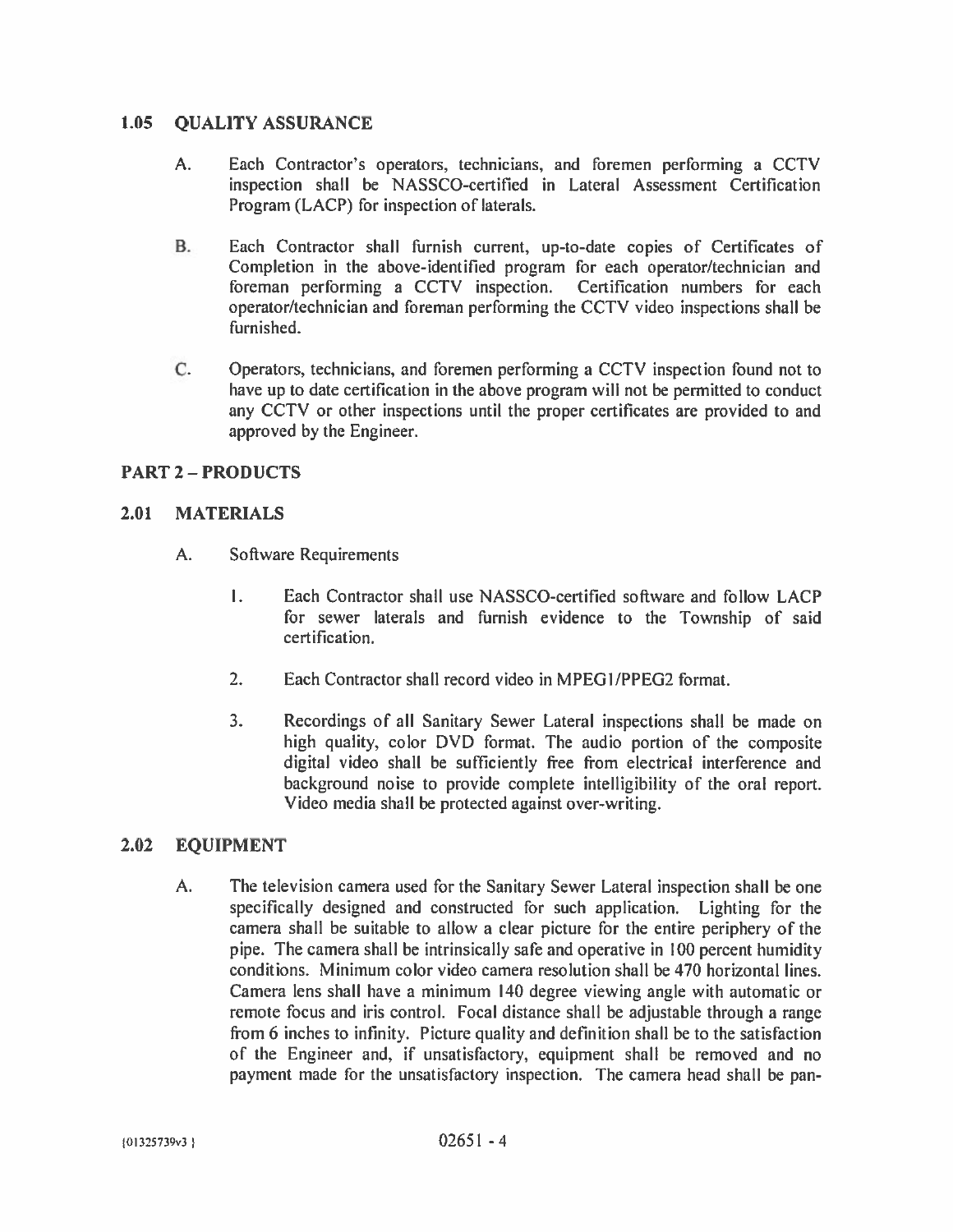#### $1.05$ **OUALITY ASSURANCE**

- Each Contractor's operators, technicians, and foremen performing a CCTV A. inspection shall be NASSCO-certified in Lateral Assessment Certification Program (LACP) for inspection of laterals.
- В. Each Contractor shall furnish current, up-to-date copies of Certificates of Completion in the above-identified program for each operator/technician and foreman performing a CCTV inspection. Certification numbers for each operator/technician and foreman performing the CCTV video inspections shall be furnished.
- C. Operators, technicians, and foremen performing a CCTV inspection found not to have up to date certification in the above program will not be permitted to conduct any CCTV or other inspections until the proper certificates are provided to and approved by the Engineer.

## **PART 2 - PRODUCTS**

#### $2.01$ **MATERIALS**

- $A.$ **Software Requirements** 
	- $\mathbf{L}$ Each Contractor shall use NASSCO-certified software and follow LACP for sewer laterals and furnish evidence to the Township of said certification.
	- $2.$ Each Contractor shall record video in MPEG1/PPEG2 format.
	- $3<sub>1</sub>$ Recordings of all Sanitary Sewer Lateral inspections shall be made on high quality, color DVD format. The audio portion of the composite digital video shall be sufficiently free from electrical interference and background noise to provide complete intelligibility of the oral report. Video media shall be protected against over-writing.

#### $2.02$ **EQUIPMENT**

 $A<sub>1</sub>$ The television camera used for the Sanitary Sewer Lateral inspection shall be one specifically designed and constructed for such application. Lighting for the camera shall be suitable to allow a clear picture for the entire periphery of the pipe. The camera shall be intrinsically safe and operative in 100 percent humidity conditions. Minimum color video camera resolution shall be 470 horizontal lines. Camera lens shall have a minimum 140 degree viewing angle with automatic or remote focus and iris control. Focal distance shall be adjustable through a range from 6 inches to infinity. Picture quality and definition shall be to the satisfaction of the Engineer and, if unsatisfactory, equipment shall be removed and no payment made for the unsatisfactory inspection. The camera head shall be pan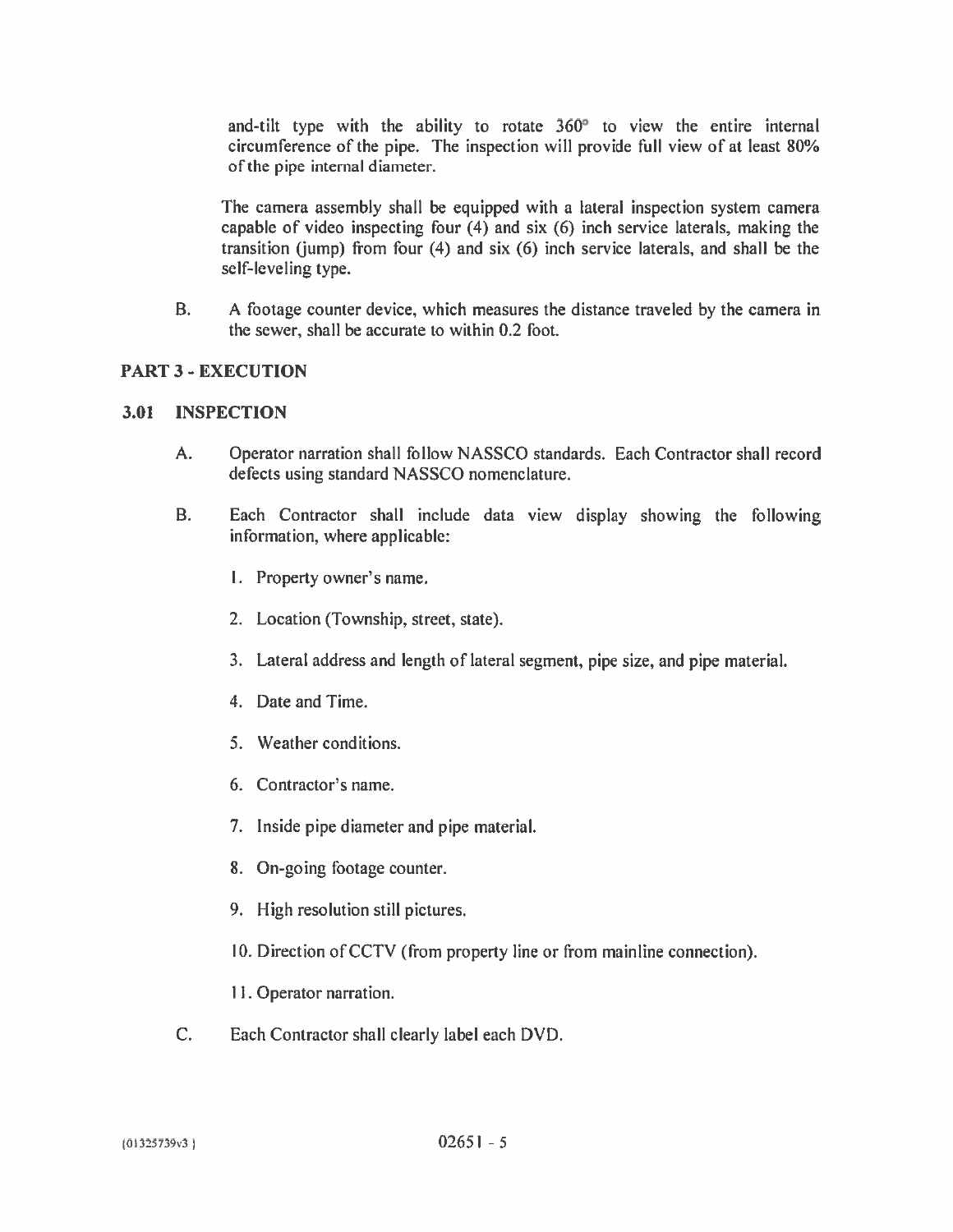and-tilt type with the ability to rotate 360<sup>°</sup> to view the entire internal circumference of the pipe. The inspection will provide full view of at least 80% of the pipe internal diameter.

The camera assembly shall be equipped with a lateral inspection system camera capable of video inspecting four (4) and six (6) inch service laterals, making the transition (jump) from four (4) and six (6) inch service laterals, and shall be the self-leveling type.

**B.** A footage counter device, which measures the distance traveled by the camera in the sewer, shall be accurate to within 0.2 foot.

## **PART 3 - EXECUTION**

#### $3.01$ **INSPECTION**

- A. Operator narration shall follow NASSCO standards. Each Contractor shall record defects using standard NASSCO nomenclature.
- $B<sub>r</sub>$ Each Contractor shall include data view display showing the following information, where applicable:
	- 1. Property owner's name.
	- 2. Location (Township, street, state).
	- 3. Lateral address and length of lateral segment, pipe size, and pipe material.
	- 4. Date and Time.
	- 5. Weather conditions.
	- 6. Contractor's name.
	- 7. Inside pipe diameter and pipe material.
	- 8. On-going footage counter.
	- 9. High resolution still pictures.
	- 10. Direction of CCTV (from property line or from mainline connection).
	- 11. Operator narration.
- $C_{\cdot}$ Each Contractor shall clearly label each DVD.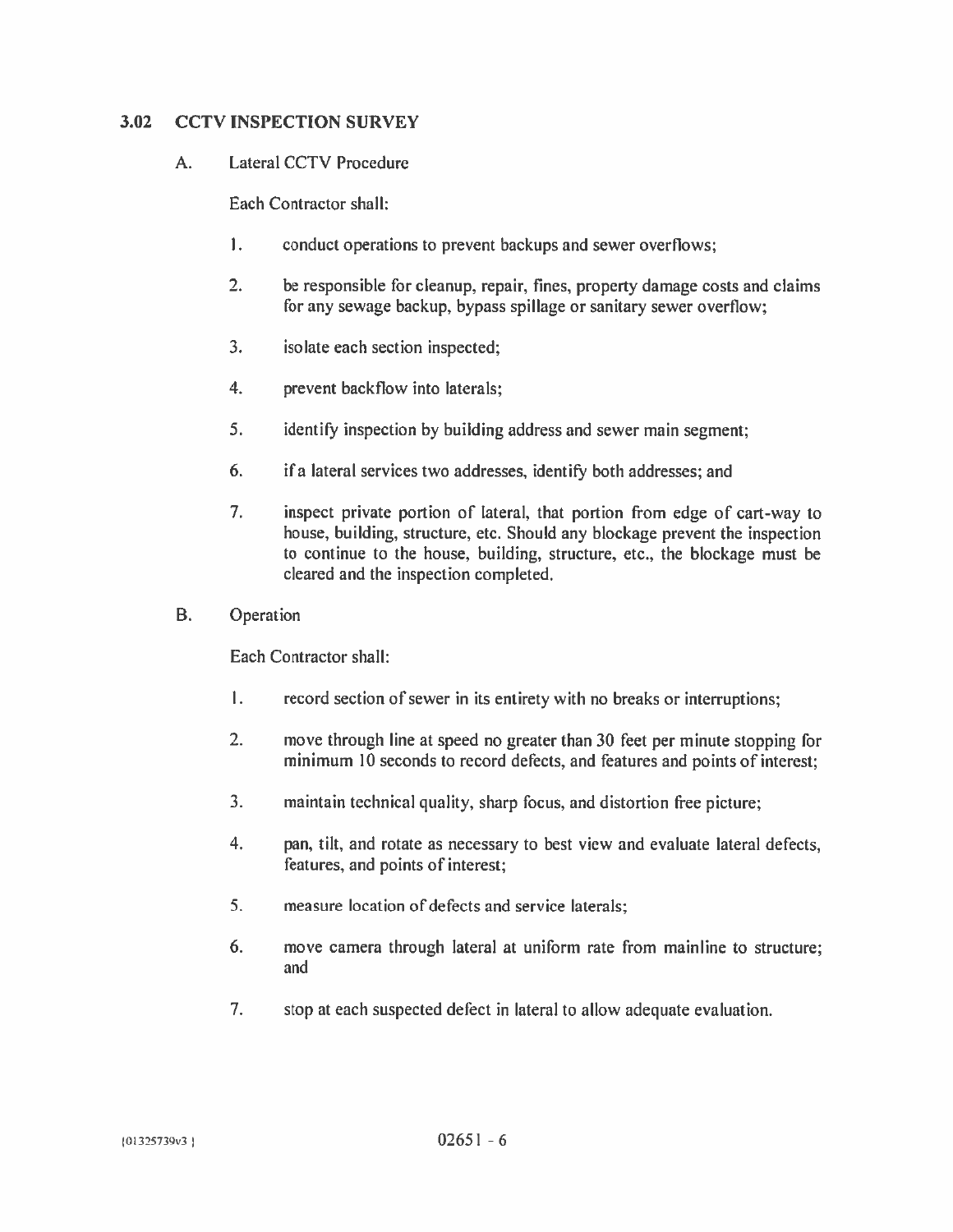#### $3.02$ **CCTV INSPECTION SURVEY**

#### $\mathbf{A}$ . **Lateral CCTV Procedure**

Each Contractor shall:

- $\mathbf{L}$ conduct operations to prevent backups and sewer overflows;
- $2.$ be responsible for cleanup, repair, fines, property damage costs and claims for any sewage backup, bypass spillage or sanitary sewer overflow;
- $3<sub>1</sub>$ isolate each section inspected;
- $4.$ prevent backflow into laterals;
- $5<sub>1</sub>$ identify inspection by building address and sewer main segment;
- if a lateral services two addresses, identify both addresses; and 6.
- $7<sub>1</sub>$ inspect private portion of lateral, that portion from edge of cart-way to house, building, structure, etc. Should any blockage prevent the inspection to continue to the house, building, structure, etc., the blockage must be cleared and the inspection completed.
- **B.** Operation

Each Contractor shall:

- $\mathbf{L}$ record section of sewer in its entirety with no breaks or interruptions;
- $2.$ move through line at speed no greater than 30 feet per minute stopping for minimum 10 seconds to record defects, and features and points of interest;
- $3.$ maintain technical quality, sharp focus, and distortion free picture;
- $4.$ pan, tilt, and rotate as necessary to best view and evaluate lateral defects, features, and points of interest;
- 5. measure location of defects and service laterals:
- 6. move camera through lateral at uniform rate from mainline to structure; and
- 7. stop at each suspected defect in lateral to allow adequate evaluation.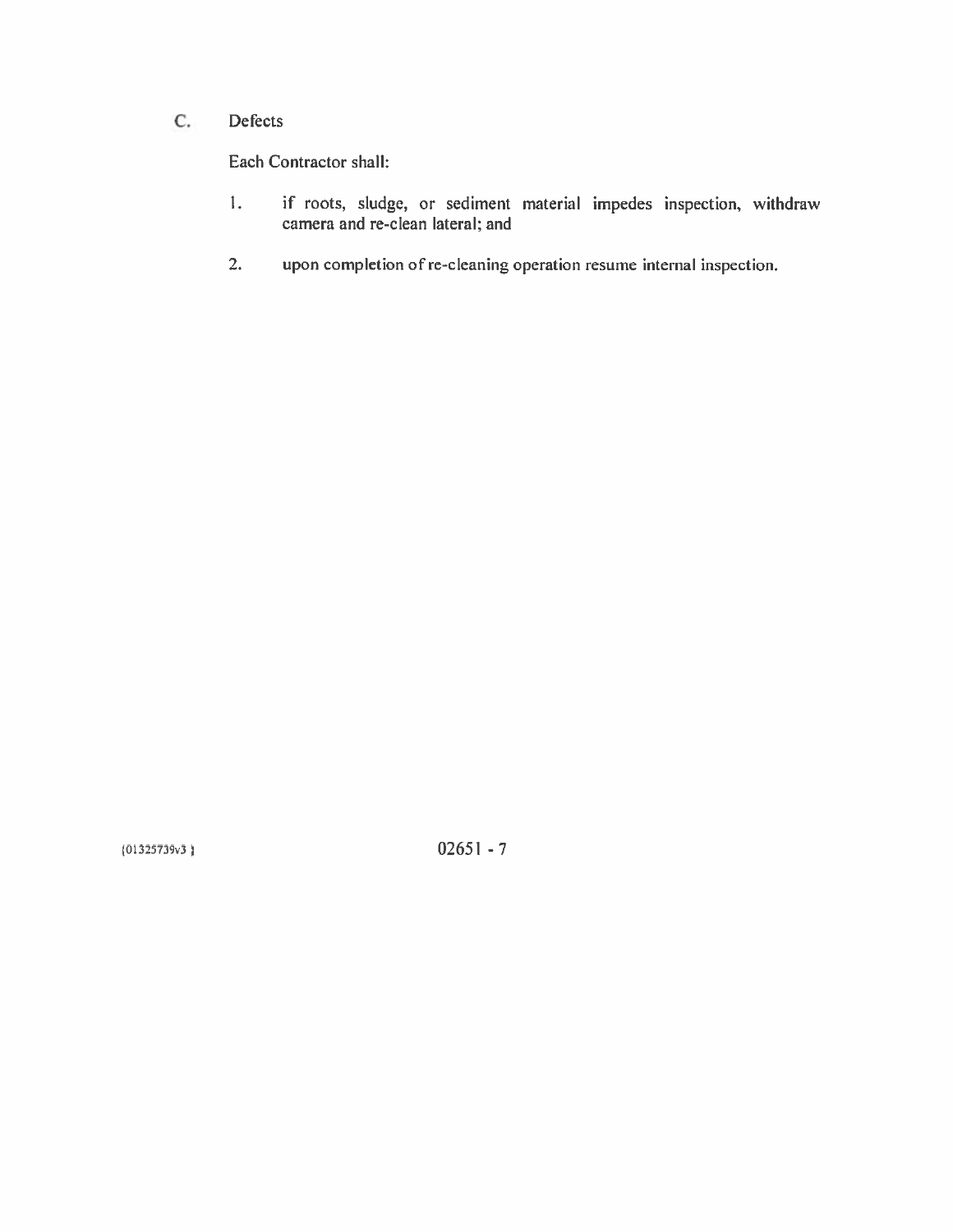#### $C.$ Defects

Each Contractor shall:

- if roots, sludge, or sediment material impedes inspection, withdraw camera and re-clean lateral; and  $\mathbf{I}$ .
- $2.$ upon completion of re-cleaning operation resume internal inspection.

 $(01325739v3)$ 

 $02651 - 7$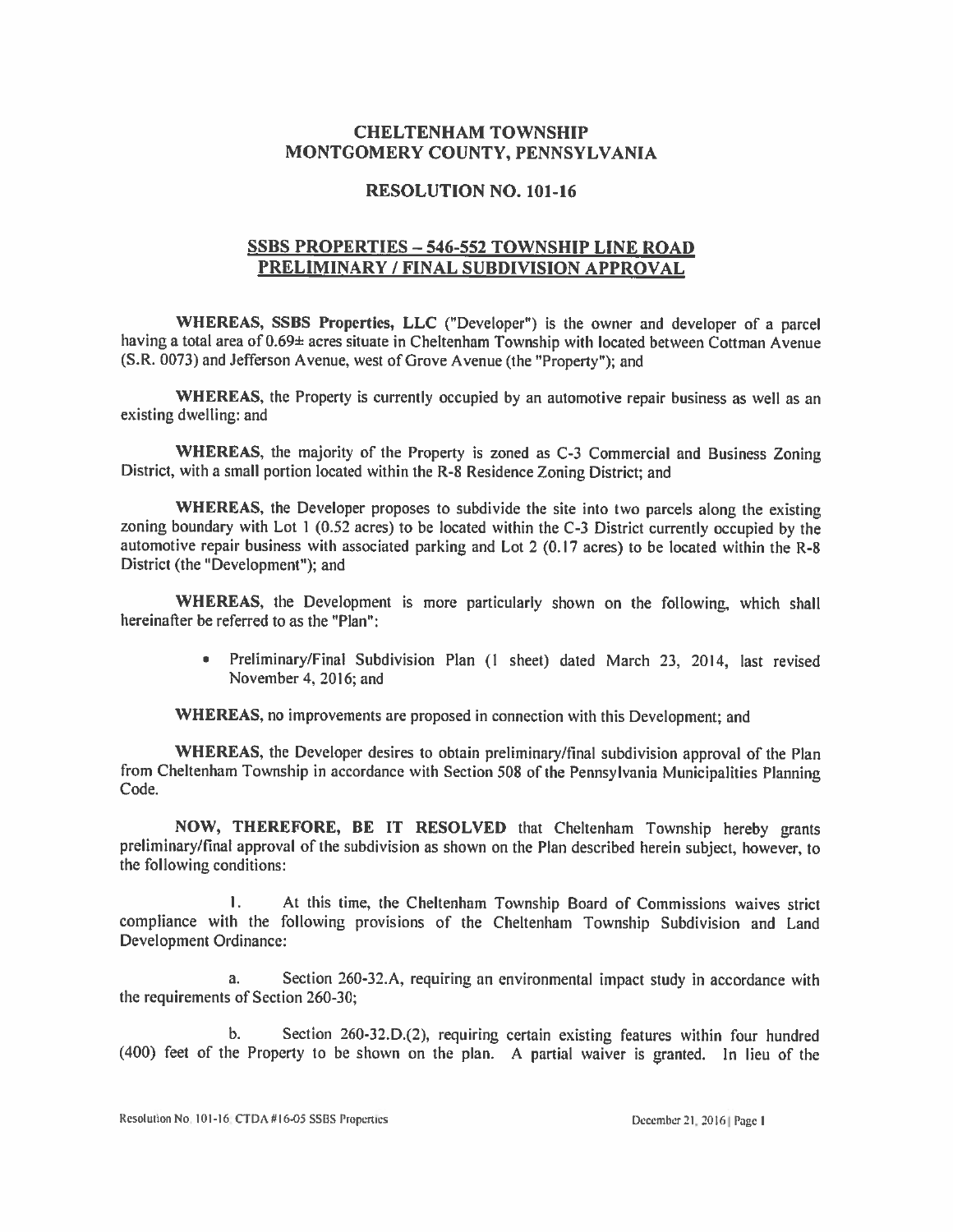### **CHELTENHAM TOWNSHIP** MONTGOMERY COUNTY, PENNSYLVANIA

#### **RESOLUTION NO. 101-16**

## **SSBS PROPERTIES - 546-552 TOWNSHIP LINE ROAD** PRELIMINARY / FINAL SUBDIVISION APPROVAL

WHEREAS, SSBS Properties, LLC ("Developer") is the owner and developer of a parcel having a total area of 0.69± acres situate in Cheltenham Township with located between Cottman Avenue (S.R. 0073) and Jefferson Avenue, west of Grove Avenue (the "Property"); and

WHEREAS, the Property is currently occupied by an automotive repair business as well as an existing dwelling; and

WHEREAS, the majority of the Property is zoned as C-3 Commercial and Business Zoning District, with a small portion located within the R-8 Residence Zoning District; and

WHEREAS, the Developer proposes to subdivide the site into two parcels along the existing zoning boundary with Lot 1 (0.52 acres) to be located within the C-3 District currently occupied by the automotive repair business with associated parking and Lot 2 (0.17 acres) to be located within the R-8 District (the "Development"); and

WHEREAS, the Development is more particularly shown on the following, which shall hereinafter be referred to as the "Plan":

> · Preliminary/Final Subdivision Plan (1 sheet) dated March 23, 2014, last revised November 4, 2016; and

WHEREAS, no improvements are proposed in connection with this Development; and

WHEREAS, the Developer desires to obtain preliminary/final subdivision approval of the Plan from Cheltenham Township in accordance with Section 508 of the Pennsylvania Municipalities Planning Code.

NOW, THEREFORE, BE IT RESOLVED that Cheltenham Township hereby grants preliminary/final approval of the subdivision as shown on the Plan described herein subject, however, to the following conditions:

 $\mathbf{L}$ At this time, the Cheltenham Township Board of Commissions waives strict compliance with the following provisions of the Cheltenham Township Subdivision and Land Development Ordinance:

Section 260-32.A, requiring an environmental impact study in accordance with  $a.$ the requirements of Section 260-30;

Section 260-32.D.(2), requiring certain existing features within four hundred  $\mathbf{b}$ . (400) feet of the Property to be shown on the plan. A partial waiver is granted. In lieu of the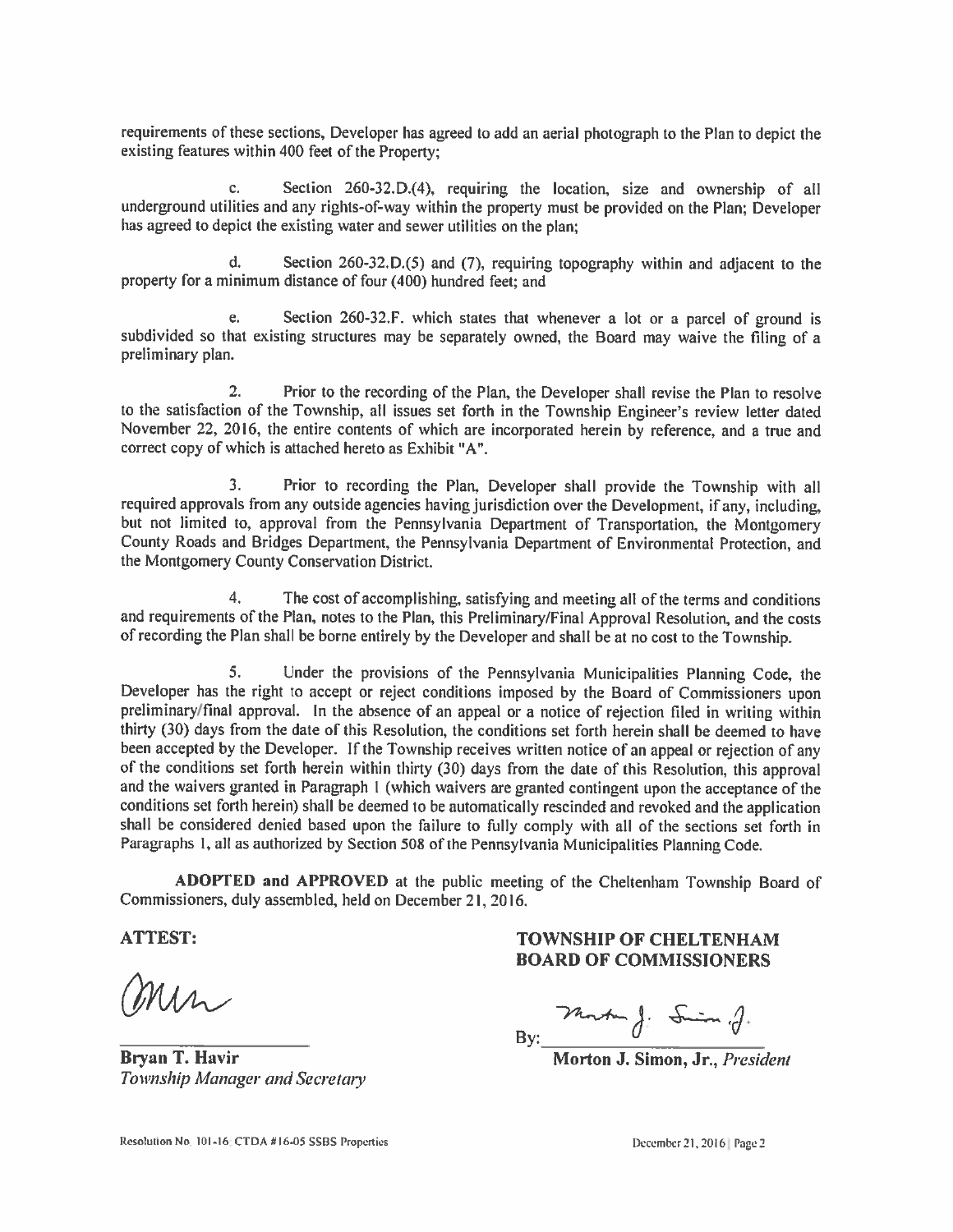requirements of these sections, Developer has agreed to add an aerial photograph to the Plan to depict the existing features within 400 feet of the Property;

Section 260-32.D.(4), requiring the location, size and ownership of all c. underground utilities and any rights-of-way within the property must be provided on the Plan; Developer has agreed to depict the existing water and sewer utilities on the plan;

d. Section 260-32.D.(5) and (7), requiring topography within and adjacent to the property for a minimum distance of four (400) hundred feet; and

Section 260-32.F. which states that whenever a lot or a parcel of ground is  $\mathbf{e}$ . subdivided so that existing structures may be separately owned, the Board may waive the filing of a preliminary plan.

 $2.$ Prior to the recording of the Plan, the Developer shall revise the Plan to resolve to the satisfaction of the Township, all issues set forth in the Township Engineer's review letter dated November 22, 2016, the entire contents of which are incorporated herein by reference, and a true and correct copy of which is attached hereto as Exhibit "A".

 $\overline{3}$ . Prior to recording the Plan, Developer shall provide the Township with all required approvals from any outside agencies having jurisdiction over the Development, if any, including, but not limited to, approval from the Pennsylvania Department of Transportation, the Montgomery County Roads and Bridges Department, the Pennsylvania Department of Environmental Protection, and the Montgomery County Conservation District.

 $4.$ The cost of accomplishing, satisfying and meeting all of the terms and conditions and requirements of the Plan, notes to the Plan, this Preliminary/Final Approval Resolution, and the costs of recording the Plan shall be borne entirely by the Developer and shall be at no cost to the Township.

5. Under the provisions of the Pennsylvania Municipalities Planning Code, the Developer has the right to accept or reject conditions imposed by the Board of Commissioners upon preliminary/final approval. In the absence of an appeal or a notice of rejection filed in writing within thirty (30) days from the date of this Resolution, the conditions set forth herein shall be deemed to have been accepted by the Developer. If the Township receives written notice of an appeal or rejection of any of the conditions set forth herein within thirty (30) days from the date of this Resolution, this approval and the waivers granted in Paragraph 1 (which waivers are granted contingent upon the acceptance of the conditions set forth herein) shall be deemed to be automatically rescinded and revoked and the application shall be considered denied based upon the failure to fully comply with all of the sections set forth in Paragraphs 1, all as authorized by Section 508 of the Pennsylvania Municipalities Planning Code.

ADOPTED and APPROVED at the public meeting of the Cheltenham Township Board of Commissioners, duly assembled, held on December 21, 2016.

**ATTEST:** 

min

Bryan T. Havir Township Manager and Secretary

## **TOWNSHIP OF CHELTENHAM BOARD OF COMMISSIONERS**

By: Monte f: Sim of.

Morton J. Simon, Jr., President

December 21, 2016 Page 2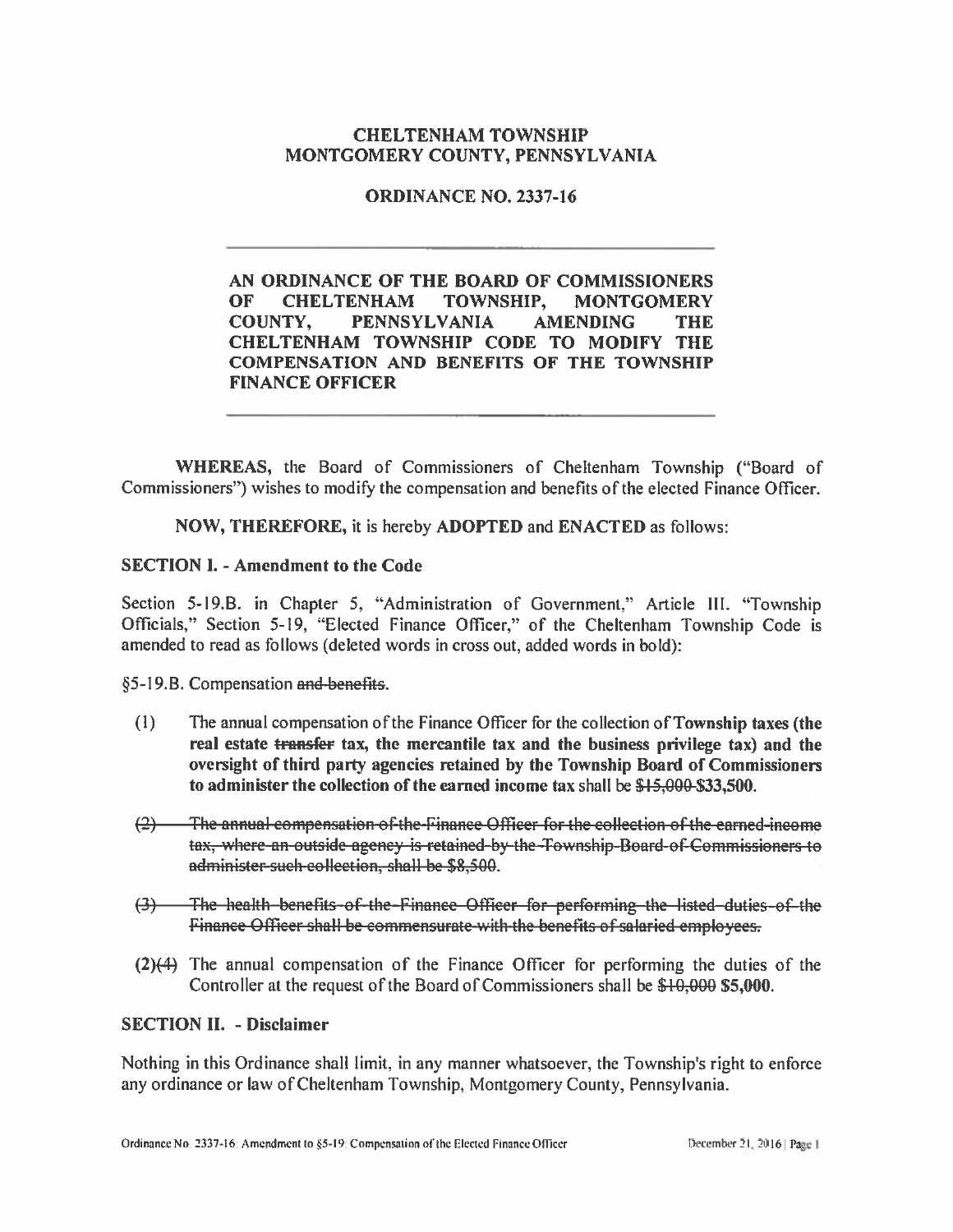## **CHELTENHAM TOWNSHIP** MONTGOMERY COUNTY, PENNSYLVANIA

**ORDINANCE NO. 2337-16** 

AN ORDINANCE OF THE BOARD OF COMMISSIONERS OF. **CHELTENHAM TOWNSHIP, MONTGOMERY COUNTY. PENNSYLVANIA AMENDING THE** CHELTENHAM TOWNSHIP CODE TO MODIFY THE **COMPENSATION AND BENEFITS OF THE TOWNSHIP FINANCE OFFICER** 

WHEREAS, the Board of Commissioners of Cheltenham Township ("Board of Commissioners") wishes to modify the compensation and benefits of the elected Finance Officer.

NOW, THEREFORE, it is hereby ADOPTED and ENACTED as follows:

#### **SECTION I. - Amendment to the Code**

Section 5-19.B. in Chapter 5, "Administration of Government," Article III. "Township Officials," Section 5-19, "Elected Finance Officer," of the Cheltenham Township Code is amended to read as follows (deleted words in cross out, added words in bold):

§5-19.B. Compensation and benefits.

- $(1)$ The annual compensation of the Finance Officer for the collection of Township taxes (the real estate transfer tax, the mercantile tax and the business privilege tax) and the oversight of third party agencies retained by the Township Board of Commissioners to administer the collection of the earned income tax shall be \$15,000-\$33,500.
- The annual compensation of the Finance Officer for the collection of the carned-income  $(2)$ tax, where an outside agency is retained by the Township Board of Commissioners to administer-such-collection, shall be \$8,500.
- The health benefits of the Finance Officer for performing the listed duties of the  $\Theta$ Finance Officer shall be commensurate with the benefits of salaried employees.
- $(2)(4)$  The annual compensation of the Finance Officer for performing the duties of the Controller at the request of the Board of Commissioners shall be \$10,000 \$5,000.

#### **SECTION II. - Disclaimer**

Nothing in this Ordinance shall limit, in any manner whatsoever, the Township's right to enforce any ordinance or law of Cheltenham Township, Montgomery County, Pennsylvania.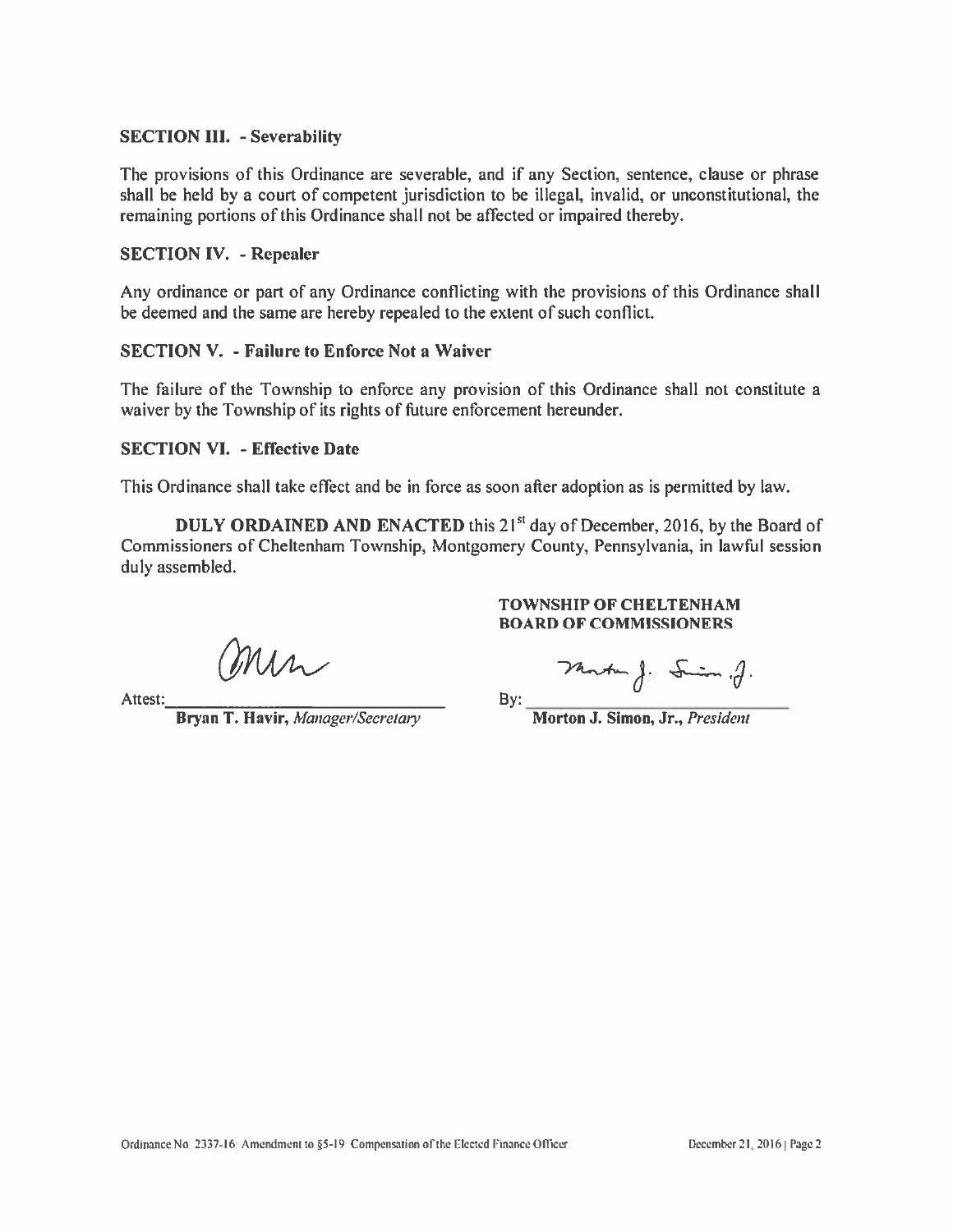#### **SECTION III.** - Severability

The provisions of this Ordinance are severable, and if any Section, sentence, clause or phrase shall be held by a court of competent jurisdiction to be illegal, invalid, or unconstitutional, the remaining portions of this Ordinance shall not be affected or impaired thereby.

#### **SECTION IV. - Repealer**

Any ordinance or part of any Ordinance conflicting with the provisions of this Ordinance shall be deemed and the same are hereby repealed to the extent of such conflict.

#### **SECTION V. - Failure to Enforce Not a Waiver**

The failure of the Township to enforce any provision of this Ordinance shall not constitute a waiver by the Township of its rights of future enforcement hereunder.

#### **SECTION VI. - Effective Date**

This Ordinance shall take effect and be in force as soon after adoption as is permitted by law.

DULY ORDAINED AND ENACTED this 21<sup>st</sup> day of December, 2016, by the Board of Commissioners of Cheltenham Township, Montgomery County, Pennsylvania, in lawful session duly assembled.

Mr

Attest:

Bryan T. Havir, Manager/Secretary

#### **TOWNSHIP OF CHELTENHAM BOARD OF COMMISSIONERS**

Martin J. Smin. J.

By:

Morton J. Simon, Jr., President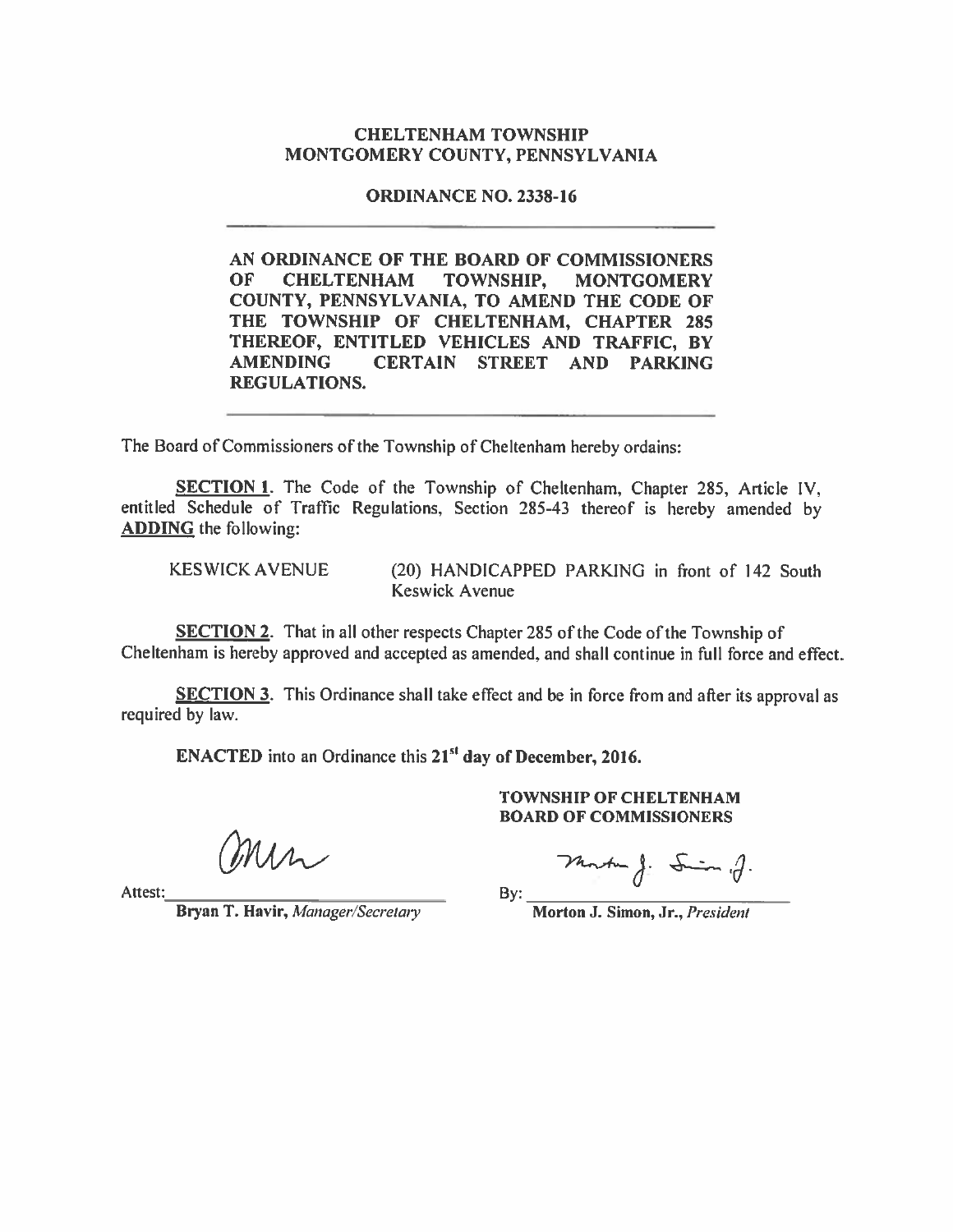#### **CHELTENHAM TOWNSHIP** MONTGOMERY COUNTY, PENNSYLVANIA

#### **ORDINANCE NO. 2338-16**

AN ORDINANCE OF THE BOARD OF COMMISSIONERS OF. **CHELTENHAM TOWNSHIP. MONTGOMERY** COUNTY, PENNSYLVANIA, TO AMEND THE CODE OF THE TOWNSHIP OF CHELTENHAM, CHAPTER 285 THEREOF, ENTITLED VEHICLES AND TRAFFIC, BY **AMENDING CERTAIN** STREET AND PARKING **REGULATIONS.** 

The Board of Commissioners of the Township of Cheltenham hereby ordains:

SECTION 1. The Code of the Township of Cheltenham, Chapter 285, Article IV, entitled Schedule of Traffic Regulations, Section 285-43 thereof is hereby amended by **ADDING** the following:

**KESWICK AVENUE** 

(20) HANDICAPPED PARKING in front of 142 South **Keswick Avenue** 

**SECTION 2.** That in all other respects Chapter 285 of the Code of the Township of Cheltenham is hereby approved and accepted as amended, and shall continue in full force and effect.

**SECTION 3.** This Ordinance shall take effect and be in force from and after its approval as required by law.

By:

**ENACTED** into an Ordinance this 21<sup>st</sup> day of December, 2016.

min

Attest:

Bryan T. Havir, Manager/Secretary

**TOWNSHIP OF CHELTENHAM BOARD OF COMMISSIONERS** 

Monte J: Sim g.

Morton J. Simon, Jr., President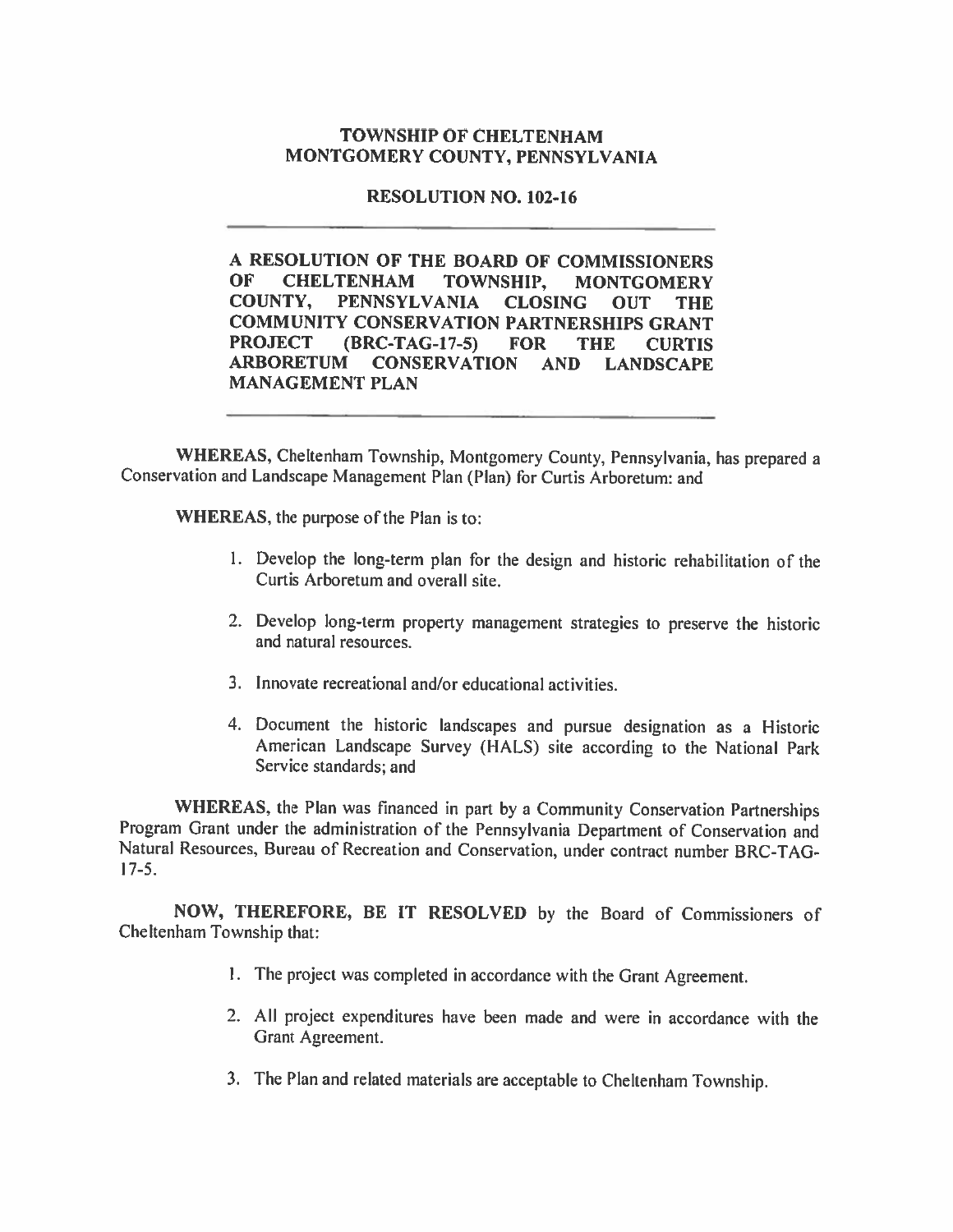#### **TOWNSHIP OF CHELTENHAM** MONTGOMERY COUNTY, PENNSYLVANIA

## **RESOLUTION NO. 102-16**

A RESOLUTION OF THE BOARD OF COMMISSIONERS OF -**CHELTENHAM** TOWNSHIP. **MONTGOMERY** COUNTY, PENNSYLVANIA CLOSING **OUT THE COMMUNITY CONSERVATION PARTNERSHIPS GRANT** PROJECT (BRC-TAG-17-5) FOR **THE CURTIS** ARBORETUM CONSERVATION AND LANDSCAPE **MANAGEMENT PLAN** 

WHEREAS, Cheltenham Township, Montgomery County, Pennsylvania, has prepared a Conservation and Landscape Management Plan (Plan) for Curtis Arboretum: and

WHEREAS, the purpose of the Plan is to:

- 1. Develop the long-term plan for the design and historic rehabilitation of the Curtis Arboretum and overall site.
- 2. Develop long-term property management strategies to preserve the historic and natural resources.
- 3. Innovate recreational and/or educational activities.
- 4. Document the historic landscapes and pursue designation as a Historic American Landscape Survey (HALS) site according to the National Park Service standards; and

WHEREAS, the Plan was financed in part by a Community Conservation Partnerships Program Grant under the administration of the Pennsylvania Department of Conservation and Natural Resources, Bureau of Recreation and Conservation, under contract number BRC-TAG- $17-5.$ 

NOW, THEREFORE, BE IT RESOLVED by the Board of Commissioners of Cheltenham Township that:

- 1. The project was completed in accordance with the Grant Agreement.
- 2. All project expenditures have been made and were in accordance with the Grant Agreement.
- 3. The Plan and related materials are acceptable to Cheltenham Township.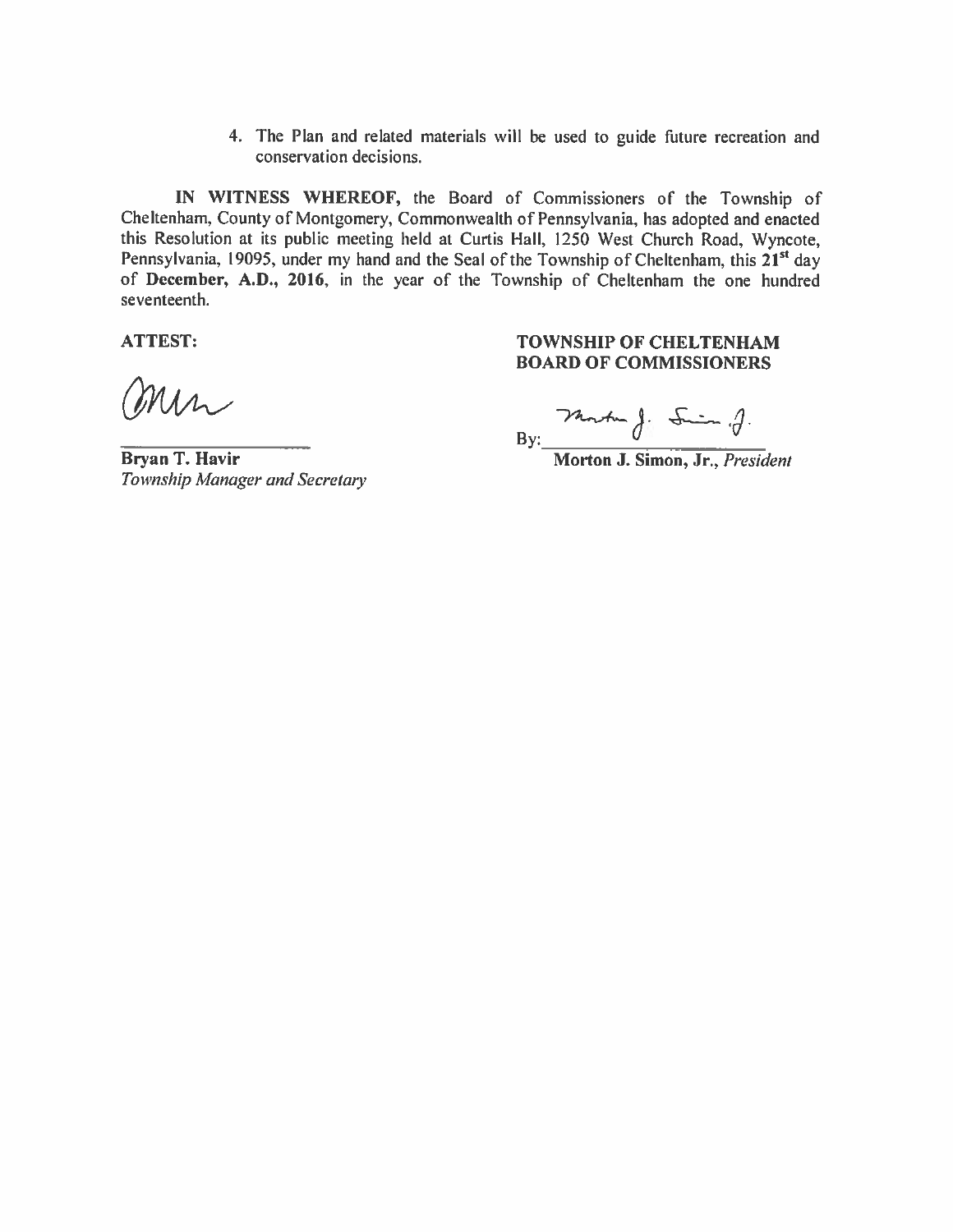4. The Plan and related materials will be used to guide future recreation and conservation decisions.

IN WITNESS WHEREOF, the Board of Commissioners of the Township of Cheltenham, County of Montgomery, Commonwealth of Pennsylvania, has adopted and enacted this Resolution at its public meeting held at Curtis Hall, 1250 West Church Road, Wyncote, Pennsylvania, 19095, under my hand and the Seal of the Township of Cheltenham, this 21<sup>st</sup> day of December, A.D., 2016, in the year of the Township of Cheltenham the one hundred seventeenth.

**ATTEST:** 

min

**Bryan T. Havir** Township Manager and Secretary

### **TOWNSHIP OF CHELTENHAM BOARD OF COMMISSIONERS**

By: Panter J: Sim .J.

Morton J. Simon, Jr., President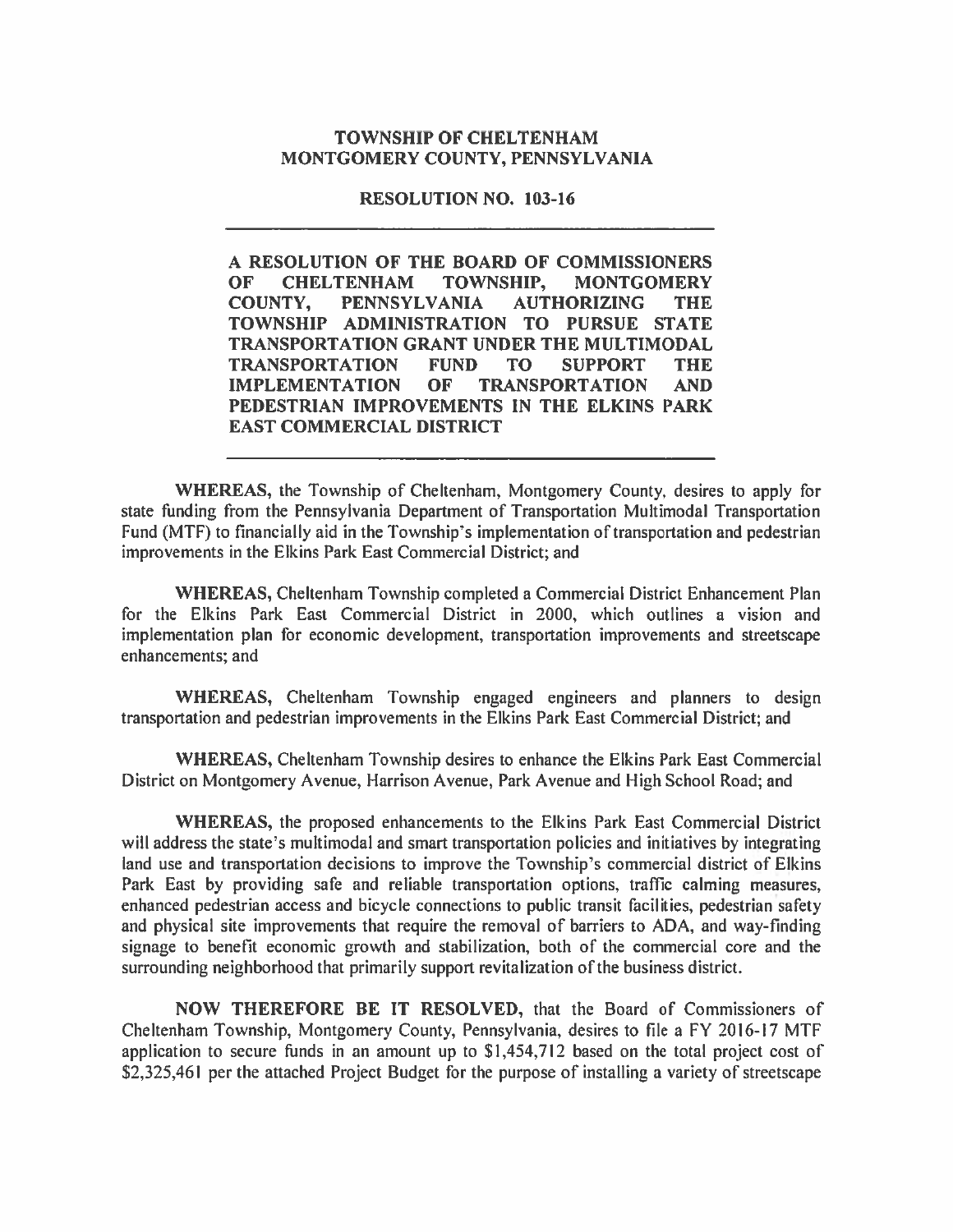#### **TOWNSHIP OF CHELTENHAM** MONTGOMERY COUNTY, PENNSYLVANIA

#### **RESOLUTION NO. 103-16**

A RESOLUTION OF THE BOARD OF COMMISSIONERS **OF CHELTENHAM TOWNSHIP, MONTGOMERY COUNTY. PENNSYLVANIA AUTHORIZING THE** TOWNSHIP ADMINISTRATION TO PURSUE STATE **TRANSPORTATION GRANT UNDER THE MULTIMODAL TRANSPORTATION FUND TO SUPPORT THE IMPLEMENTATION** OF **TRANSPORTATION AND** PEDESTRIAN IMPROVEMENTS IN THE ELKINS PARK **EAST COMMERCIAL DISTRICT** 

WHEREAS, the Township of Cheltenham, Montgomery County, desires to apply for state funding from the Pennsylvania Department of Transportation Multimodal Transportation Fund (MTF) to financially aid in the Township's implementation of transportation and pedestrian improvements in the Elkins Park East Commercial District; and

WHEREAS, Cheltenham Township completed a Commercial District Enhancement Plan for the Elkins Park East Commercial District in 2000, which outlines a vision and implementation plan for economic development, transportation improvements and streetscape enhancements; and

WHEREAS, Cheltenham Township engaged engineers and planners to design transportation and pedestrian improvements in the Elkins Park East Commercial District; and

WHEREAS, Cheltenham Township desires to enhance the Elkins Park East Commercial District on Montgomery Avenue, Harrison Avenue, Park Avenue and High School Road; and

WHEREAS, the proposed enhancements to the Elkins Park East Commercial District will address the state's multimodal and smart transportation policies and initiatives by integrating land use and transportation decisions to improve the Township's commercial district of Elkins Park East by providing safe and reliable transportation options, traffic calming measures, enhanced pedestrian access and bicycle connections to public transit facilities, pedestrian safety and physical site improvements that require the removal of barriers to ADA, and way-finding signage to benefit economic growth and stabilization, both of the commercial core and the surrounding neighborhood that primarily support revitalization of the business district.

NOW THEREFORE BE IT RESOLVED, that the Board of Commissioners of Cheltenham Township, Montgomery County, Pennsylvania, desires to file a FY 2016-17 MTF application to secure funds in an amount up to \$1,454,712 based on the total project cost of \$2,325,461 per the attached Project Budget for the purpose of installing a variety of streetscape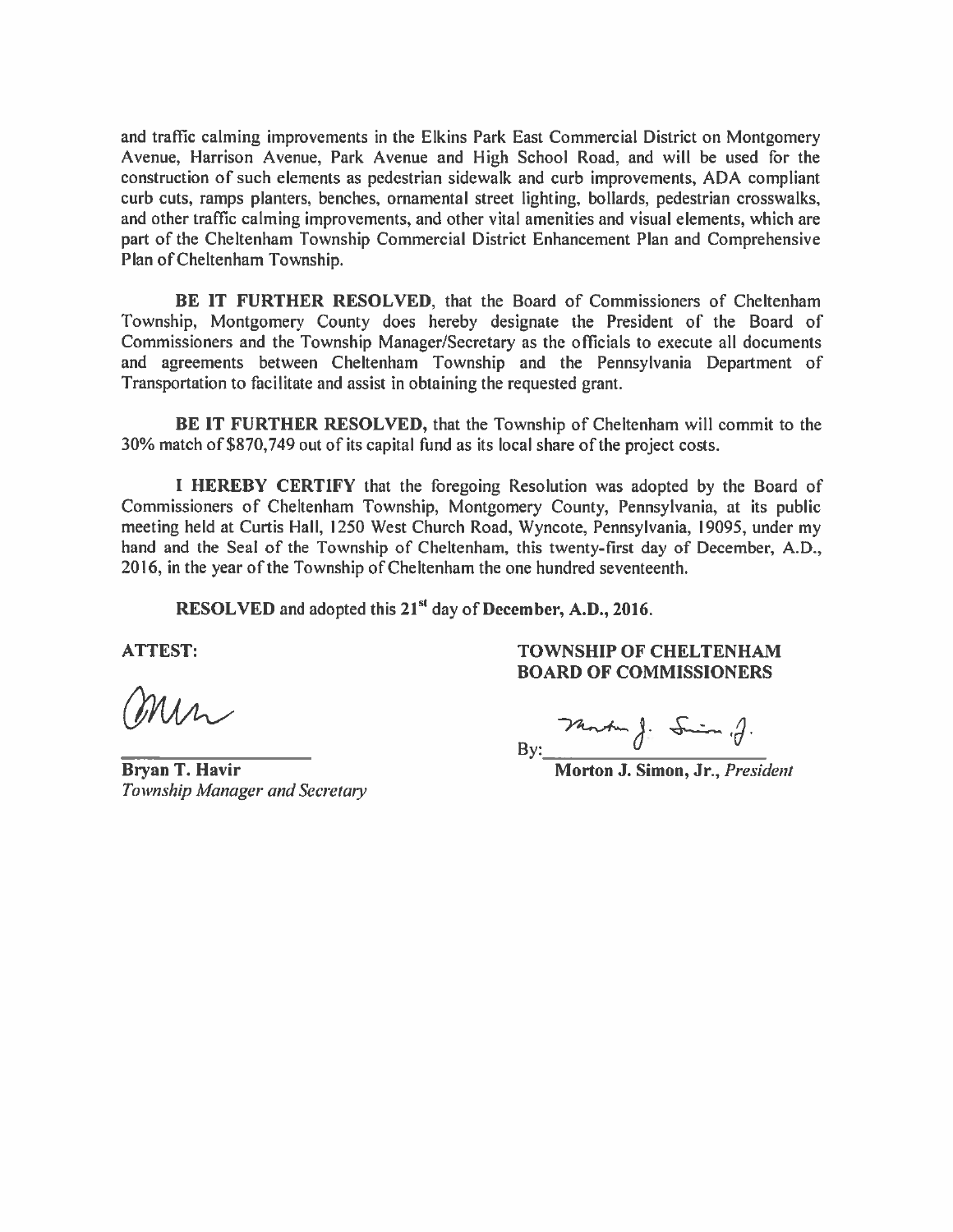and traffic calming improvements in the Elkins Park East Commercial District on Montgomery Avenue, Harrison Avenue, Park Avenue and High School Road, and will be used for the construction of such elements as pedestrian sidewalk and curb improvements, ADA compliant curb cuts, ramps planters, benches, ornamental street lighting, bollards, pedestrian crosswalks, and other traffic calming improvements, and other vital amenities and visual elements, which are part of the Cheltenham Township Commercial District Enhancement Plan and Comprehensive Plan of Cheltenham Township.

BE IT FURTHER RESOLVED, that the Board of Commissioners of Cheltenham Township, Montgomery County does hereby designate the President of the Board of Commissioners and the Township Manager/Secretary as the officials to execute all documents and agreements between Cheltenham Township and the Pennsylvania Department of Transportation to facilitate and assist in obtaining the requested grant.

**BE IT FURTHER RESOLVED, that the Township of Cheltenham will commit to the** 30% match of \$870,749 out of its capital fund as its local share of the project costs.

I HEREBY CERTIFY that the foregoing Resolution was adopted by the Board of Commissioners of Cheltenham Township, Montgomery County, Pennsylvania, at its public meeting held at Curtis Hall, 1250 West Church Road, Wyncote, Pennsylvania, 19095, under my hand and the Seal of the Township of Cheltenham, this twenty-first day of December, A.D., 2016, in the year of the Township of Cheltenham the one hundred seventeenth.

RESOLVED and adopted this 21<sup>st</sup> day of December, A.D., 2016.

**ATTEST:** 

min

**Bryan T. Havir** Township Manager and Secretary

**TOWNSHIP OF CHELTENHAM BOARD OF COMMISSIONERS** 

By:  $\frac{\partial^2 u}{\partial x \partial y}$ .<br>Morton J. Simon, Jr., *President*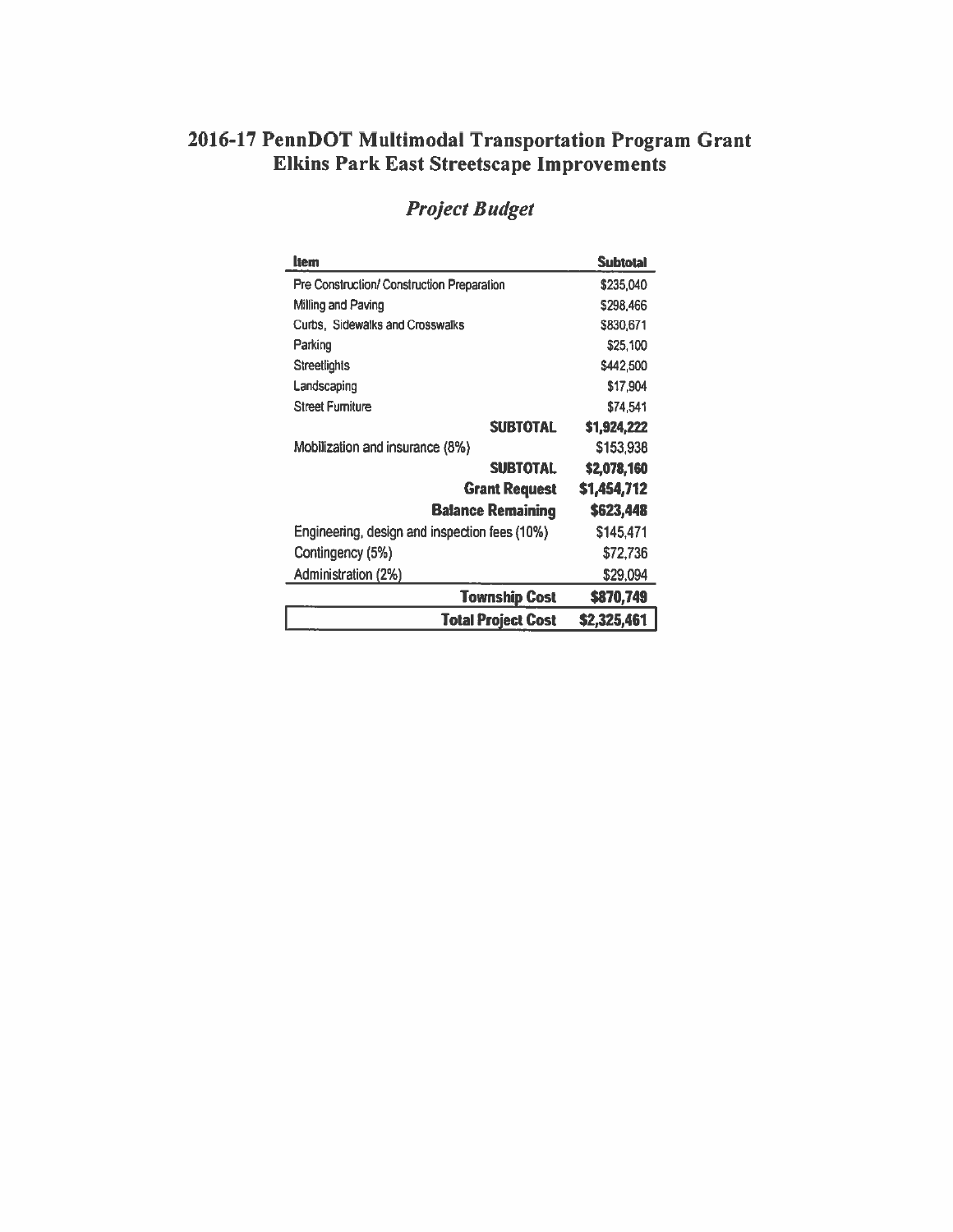# 2016-17 PennDOT Multimodal Transportation Program Grant<br>Elkins Park East Streetscape Improvements

| ltem                                          | <b>Subtotal</b> |
|-----------------------------------------------|-----------------|
| Pre Construction/ Construction Preparation    | \$235,040       |
| Milling and Paving                            | \$298,466       |
| Curbs. Sidewalks and Crosswalks               | \$830,671       |
| Parking                                       | \$25,100        |
| <b>Streetlights</b>                           | \$442,500       |
| Landscaping                                   | \$17,904        |
| <b>Street Furniture</b>                       | \$74,541        |
| <b>SUBTOTAL</b>                               | \$1,924,222     |
| Mobilization and insurance (8%)               | \$153,938       |
| <b>SUBTOTAL</b>                               | \$2,078,160     |
| <b>Grant Request</b>                          | \$1,454,712     |
| <b>Balance Remaining</b>                      | \$623,448       |
| Engineering, design and inspection fees (10%) | \$145,471       |
| Contingency (5%)                              | \$72,736        |
| Administration (2%)                           | \$29,094        |
| <b>Township Cost</b>                          | \$870,749       |
| <b>Total Project Cost</b>                     | \$2,325,461     |

## **Project Budget**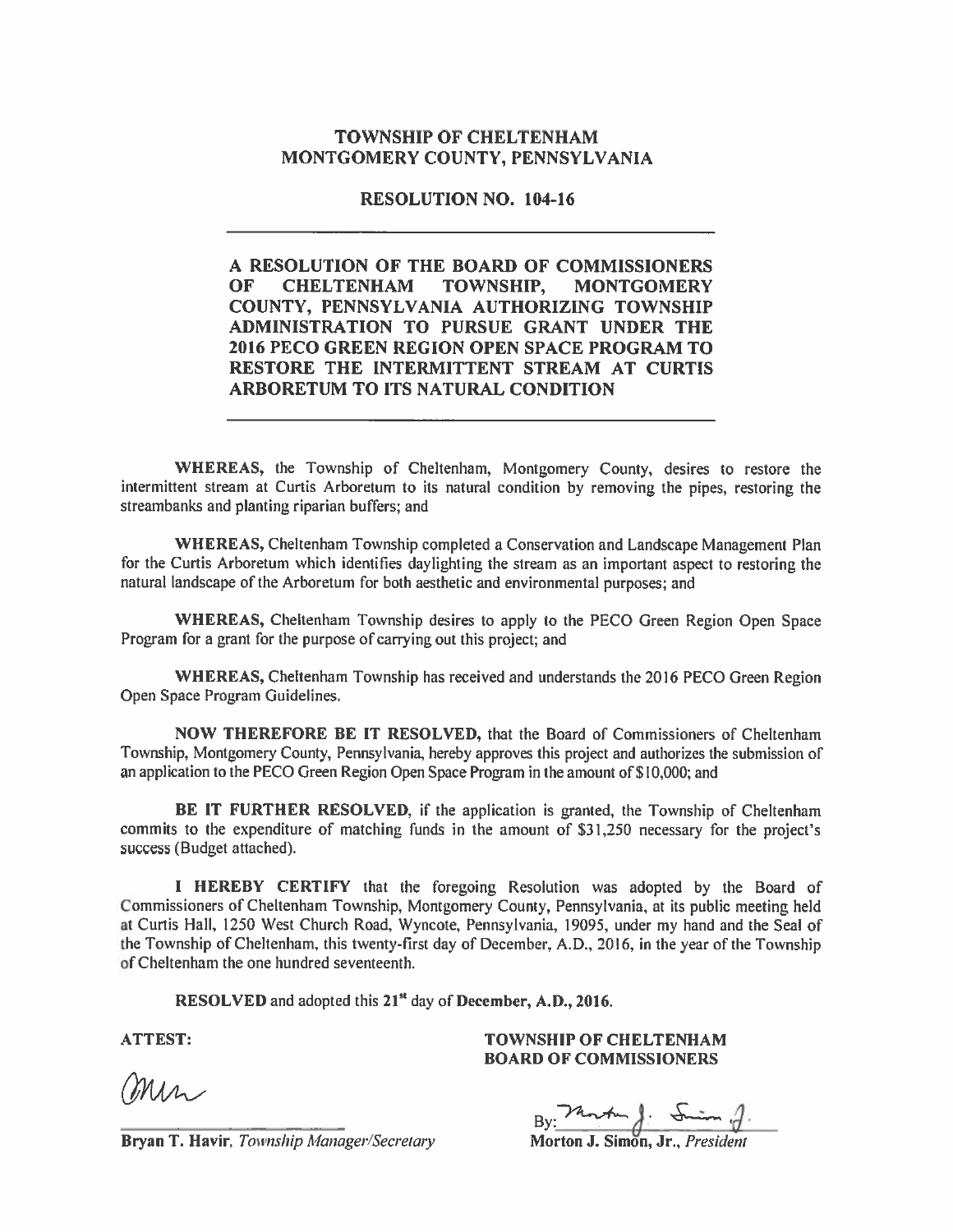#### **TOWNSHIP OF CHELTENHAM** MONTGOMERY COUNTY, PENNSYLVANIA

#### **RESOLUTION NO. 104-16**

#### A RESOLUTION OF THE BOARD OF COMMISSIONERS OF **CHELTENHAM TOWNSHIP, MONTGOMERY** COUNTY, PENNSYLVANIA AUTHORIZING TOWNSHIP ADMINISTRATION TO PURSUE GRANT UNDER THE 2016 PECO GREEN REGION OPEN SPACE PROGRAM TO RESTORE THE INTERMITTENT STREAM AT CURTIS ARBORETUM TO ITS NATURAL CONDITION

WHEREAS, the Township of Cheltenham, Montgomery County, desires to restore the intermittent stream at Curtis Arboretum to its natural condition by removing the pipes, restoring the streambanks and planting riparian buffers; and

WHEREAS, Cheltenham Township completed a Conservation and Landscape Management Plan for the Curtis Arboretum which identifies daylighting the stream as an important aspect to restoring the natural landscape of the Arboretum for both aesthetic and environmental purposes; and

WHEREAS, Cheltenham Township desires to apply to the PECO Green Region Open Space Program for a grant for the purpose of carrying out this project; and

WHEREAS, Cheltenham Township has received and understands the 2016 PECO Green Region Open Space Program Guidelines.

NOW THEREFORE BE IT RESOLVED, that the Board of Commissioners of Cheltenham Township, Montgomery County, Pennsylvania, hereby approves this project and authorizes the submission of an application to the PECO Green Region Open Space Program in the amount of \$10,000; and

BE IT FURTHER RESOLVED, if the application is granted, the Township of Cheltenham commits to the expenditure of matching funds in the amount of \$31,250 necessary for the project's success (Budget attached).

I HEREBY CERTIFY that the foregoing Resolution was adopted by the Board of Commissioners of Cheltenham Township, Montgomery County, Pennsylvania, at its public meeting held at Curtis Hall, 1250 West Church Road, Wyncote, Pennsylvania, 19095, under my hand and the Seal of the Township of Cheltenham, this twenty-first day of December, A.D., 2016, in the year of the Township of Cheltenham the one hundred seventeenth.

RESOLVED and adopted this 21<sup>st</sup> day of December, A.D., 2016.

**ATTEST:** 

min

**TOWNSHIP OF CHELTENHAM BOARD OF COMMISSIONERS** 

By:  $\frac{\lambda_{n} \cdot \lambda_{n}}{\lambda_{n} \cdot \lambda_{n}}$ .<br>Morton J. Simon, Jr., *President* 

Bryan T. Havir, Township Manager/Secretary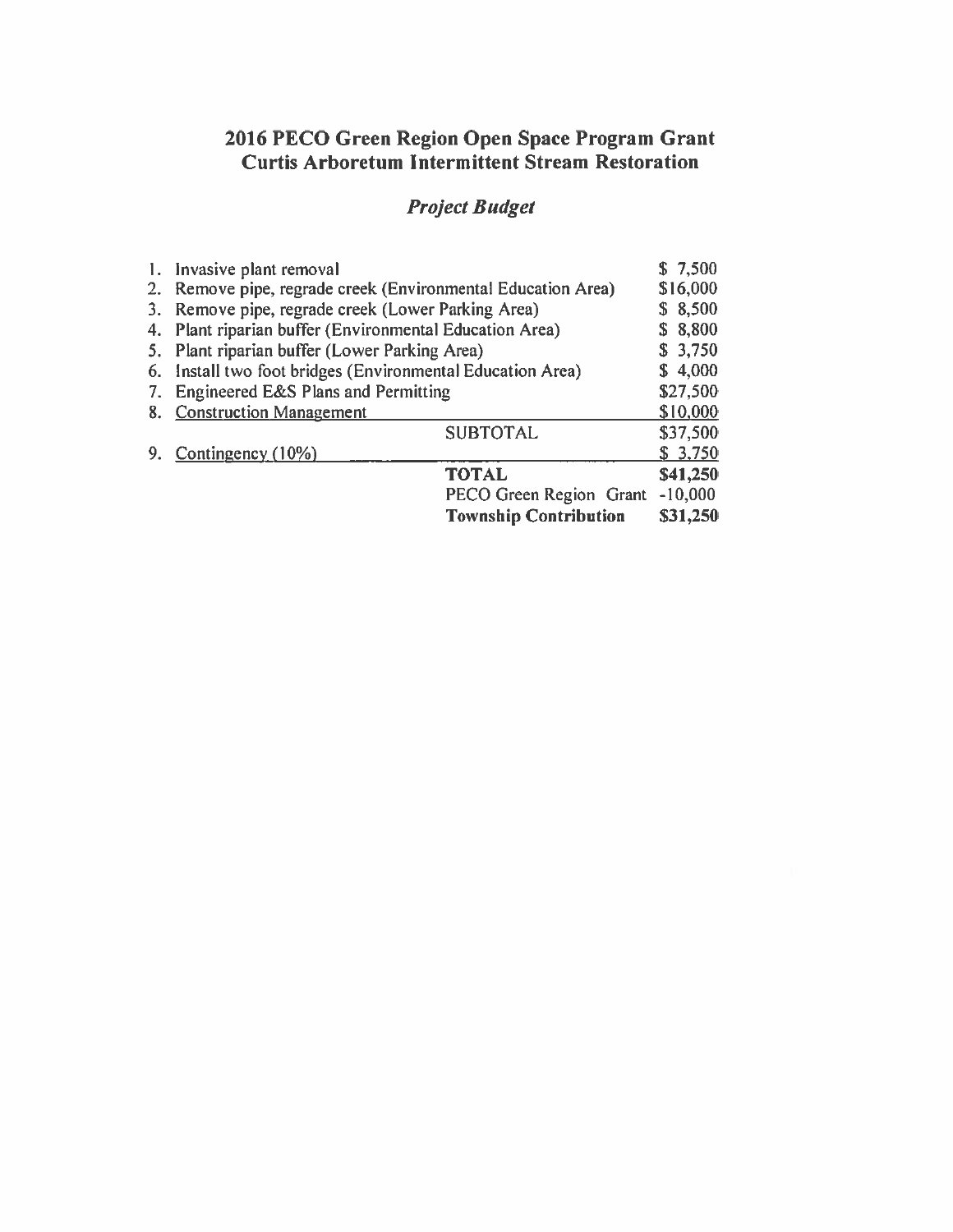# 2016 PECO Green Region Open Space Program Grant<br>Curtis Arboretum Intermittent Stream Restoration

## **Project Budget**

|    | 1. Invasive plant removal                                    |  |  | \$7,500   |
|----|--------------------------------------------------------------|--|--|-----------|
|    | 2. Remove pipe, regrade creek (Environmental Education Area) |  |  | \$16,000  |
| 3. | Remove pipe, regrade creek (Lower Parking Area)              |  |  | \$8,500   |
| 4. | Plant riparian buffer (Environmental Education Area)         |  |  | \$8,800   |
| 5. | Plant riparian buffer (Lower Parking Area)                   |  |  | \$3,750   |
|    | 6. Install two foot bridges (Environmental Education Area)   |  |  | \$4,000   |
| 7. | Engineered E&S Plans and Permitting                          |  |  | \$27,500  |
| 8. | <b>Construction Management</b>                               |  |  | \$10,000  |
|    | <b>SUBTOTAL</b>                                              |  |  | \$37,500  |
| 9. | Contingency (10%)                                            |  |  | \$3,750   |
|    | <b>TOTAL</b>                                                 |  |  | \$41,250  |
|    | PECO Green Region Grant                                      |  |  | $-10,000$ |
|    | <b>Township Contribution</b>                                 |  |  | \$31,250  |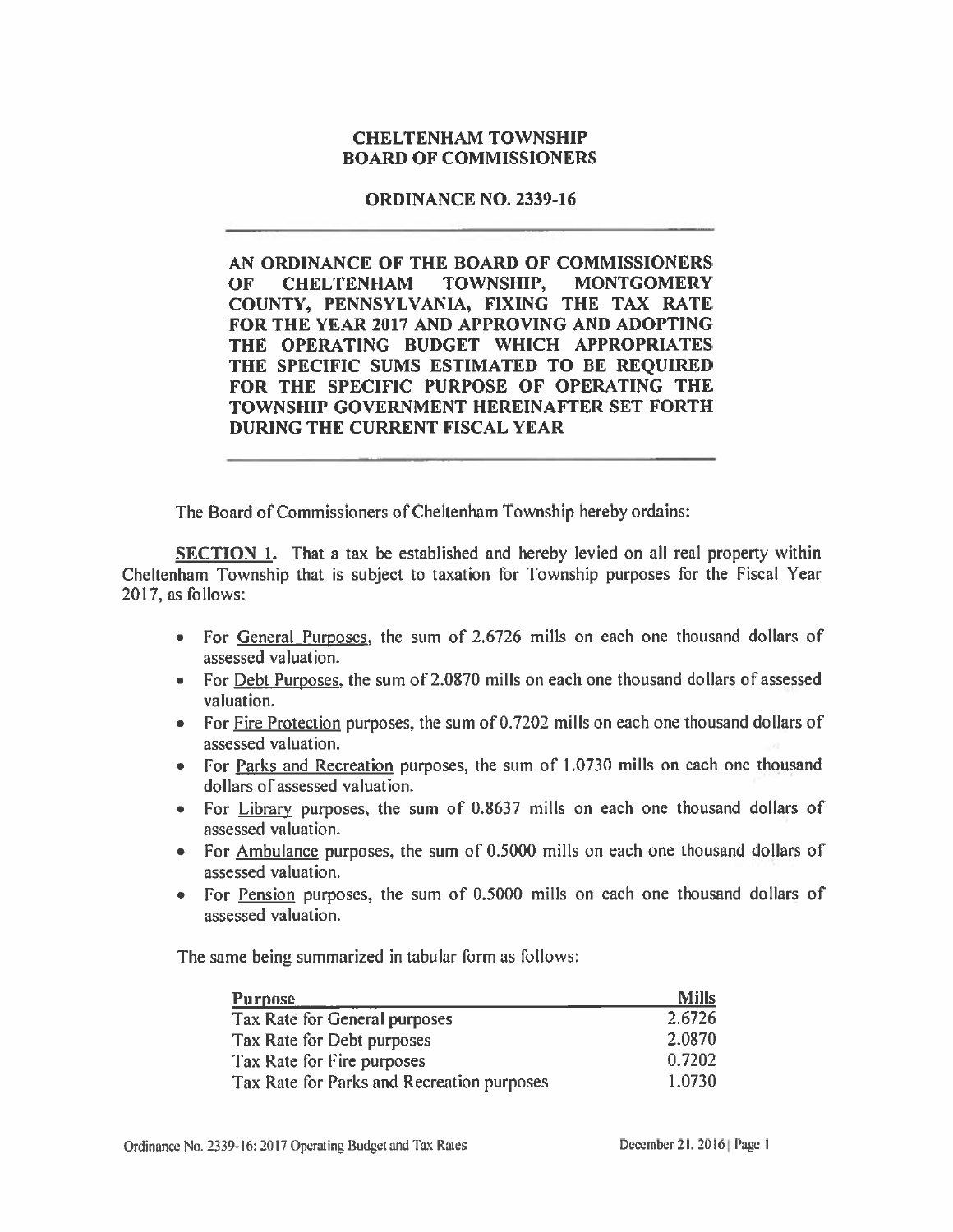## **CHELTENHAM TOWNSHIP BOARD OF COMMISSIONERS**

#### **ORDINANCE NO. 2339-16**

AN ORDINANCE OF THE BOARD OF COMMISSIONERS **MONTGOMERY** OF **CHELTENHAM** TOWNSHIP, COUNTY, PENNSYLVANIA, FIXING THE TAX RATE FOR THE YEAR 2017 AND APPROVING AND ADOPTING THE OPERATING BUDGET WHICH APPROPRIATES THE SPECIFIC SUMS ESTIMATED TO BE REQUIRED FOR THE SPECIFIC PURPOSE OF OPERATING THE TOWNSHIP GOVERNMENT HEREINAFTER SET FORTH DURING THE CURRENT FISCAL YEAR

The Board of Commissioners of Cheltenham Township hereby ordains:

**SECTION 1.** That a tax be established and hereby levied on all real property within Cheltenham Township that is subject to taxation for Township purposes for the Fiscal Year 2017, as follows:

- For General Purposes, the sum of 2.6726 mills on each one thousand dollars of assessed valuation.
- For Debt Purposes, the sum of 2.0870 mills on each one thousand dollars of assessed valuation.
- For Fire Protection purposes, the sum of 0.7202 mills on each one thousand dollars of assessed valuation.
- For Parks and Recreation purposes, the sum of 1.0730 mills on each one thousand dollars of assessed valuation.
- For Library purposes, the sum of 0.8637 mills on each one thousand dollars of  $\bullet$ assessed valuation.
- For Ambulance purposes, the sum of 0.5000 mills on each one thousand dollars of assessed valuation.
- For Pension purposes, the sum of 0.5000 mills on each one thousand dollars of assessed valuation.

The same being summarized in tabular form as follows:

| <b>Purpose</b>                             | <b>Mills</b> |
|--------------------------------------------|--------------|
| Tax Rate for General purposes              | 2.6726       |
| Tax Rate for Debt purposes                 | 2.0870       |
| Tax Rate for Fire purposes                 | 0.7202       |
| Tax Rate for Parks and Recreation purposes | 1.0730       |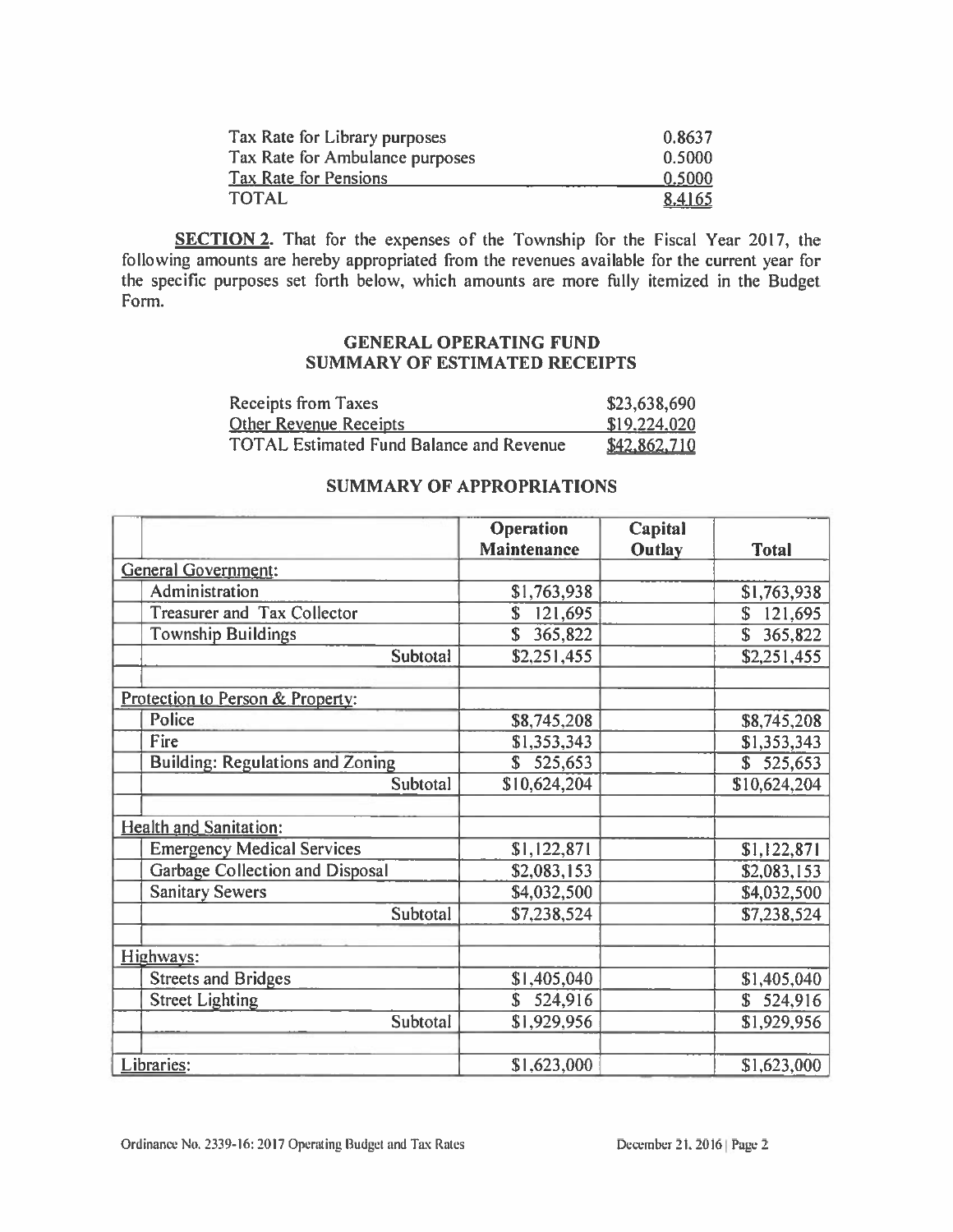| Tax Rate for Library purposes   | 0.8637 |
|---------------------------------|--------|
| Tax Rate for Ambulance purposes | 0.5000 |
| <b>Tax Rate for Pensions</b>    | 0.5000 |
| <b>TOTAL</b>                    | 8.4165 |

**SECTION 2.** That for the expenses of the Township for the Fiscal Year 2017, the following amounts are hereby appropriated from the revenues available for the current year for the specific purposes set forth below, which amounts are more fully itemized in the Budget Form.

### **GENERAL OPERATING FUND SUMMARY OF ESTIMATED RECEIPTS**

| <b>Receipts from Taxes</b>                      | \$23,638,690 |
|-------------------------------------------------|--------------|
| <b>Other Revenue Receipts</b>                   | \$19,224,020 |
| <b>TOTAL Estimated Fund Balance and Revenue</b> | \$42,862,710 |

#### **SUMMARY OF APPROPRIATIONS**

|                                         | <b>Operation</b>   | Capital       |                        |
|-----------------------------------------|--------------------|---------------|------------------------|
|                                         | <b>Maintenance</b> | <b>Outlay</b> | <b>Total</b>           |
| <b>General Government:</b>              |                    |               |                        |
| Administration                          | \$1,763,938        |               | \$1,763,938            |
| Treasurer and Tax Collector             | \$<br>121,695      |               | 121,695<br>S           |
| <b>Township Buildings</b>               | \$<br>365,822      |               | $\mathbf S$<br>365,822 |
| Subtotal                                | \$2,251,455        |               | \$2,251,455            |
|                                         |                    |               |                        |
| Protection to Person & Property:        |                    |               |                        |
| Police                                  | \$8,745,208        |               | \$8,745,208            |
| Fire                                    | \$1,353,343        |               | \$1,353,343            |
| <b>Building: Regulations and Zoning</b> | \$525,653          |               | \$525,653              |
| Subtotal                                | \$10,624,204       |               | \$10,624,204           |
|                                         |                    |               |                        |
| <b>Health and Sanitation:</b>           |                    |               |                        |
| <b>Emergency Medical Services</b>       | \$1,122,871        |               | \$1,122,871            |
| Garbage Collection and Disposal         | \$2,083,153        |               | \$2,083,153            |
| <b>Sanitary Sewers</b>                  | \$4,032,500        |               | \$4,032,500            |
| Subtotal                                | \$7,238,524        |               | \$7,238,524            |
|                                         |                    |               |                        |
| Highways:                               |                    |               |                        |
| <b>Streets and Bridges</b>              | \$1,405,040        |               | \$1,405,040            |
| <b>Street Lighting</b>                  | 524,916<br>\$      |               | \$524,916              |
| Subtotal                                | \$1,929,956        |               | \$1,929,956            |
|                                         |                    |               |                        |
| Libraries:                              | \$1,623,000        |               | \$1,623,000            |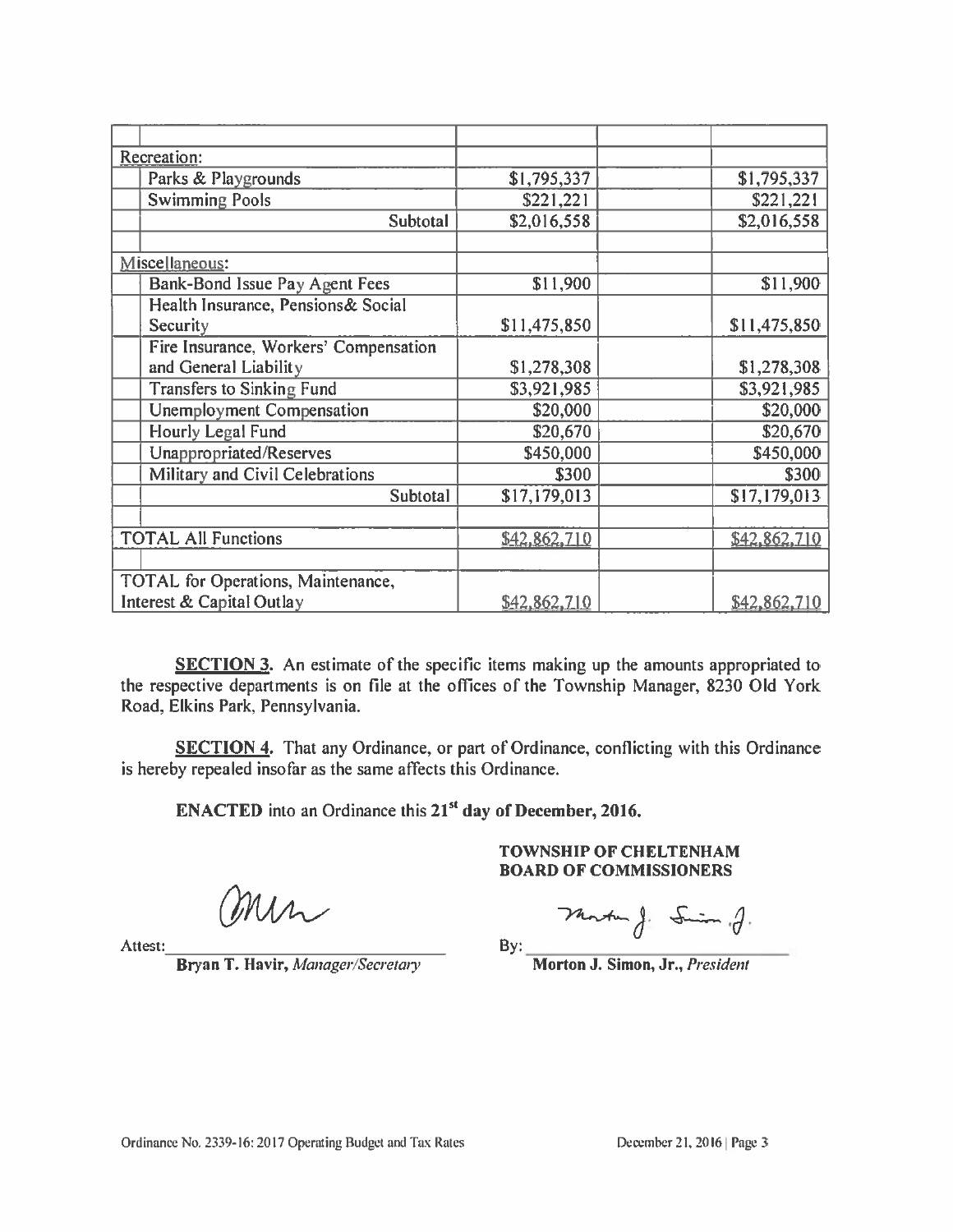| Recreation:                           |                       |              |
|---------------------------------------|-----------------------|--------------|
|                                       |                       |              |
| Parks & Playgrounds                   | \$1,795,337           | \$1,795,337  |
| <b>Swimming Pools</b>                 | $\overline{$221,221}$ | \$221,221    |
| Subtotal                              | \$2,016,558           | \$2,016,558  |
|                                       |                       |              |
| Miscellaneous:                        |                       |              |
| Bank-Bond Issue Pay Agent Fees        | \$11,900              | \$11,900     |
| Health Insurance, Pensions& Social    |                       |              |
| Security                              | \$11,475,850          | \$11,475,850 |
| Fire Insurance, Workers' Compensation |                       |              |
| and General Liability                 | \$1,278,308           | \$1,278,308  |
| <b>Transfers to Sinking Fund</b>      | \$3,921,985           | \$3,921,985  |
| Unemployment Compensation             | \$20,000              | \$20,000     |
| <b>Hourly Legal Fund</b>              | \$20,670              | \$20,670     |
| Unappropriated/Reserves               | \$450,000             | \$450,000    |
| Military and Civil Celebrations       | \$300                 | \$300        |
| Subtotal                              | \$17,179,013          | \$17,179,013 |
|                                       |                       |              |
| <b>TOTAL All Functions</b>            | \$42,862,710          | \$42,862,710 |
|                                       |                       |              |
| TOTAL for Operations, Maintenance,    |                       |              |
| Interest & Capital Outlay             | \$42,862,710          | \$42,862,710 |

**SECTION 3.** An estimate of the specific items making up the amounts appropriated to the respective departments is on file at the offices of the Township Manager, 8230 Old York Road, Elkins Park, Pennsylvania.

SECTION 4. That any Ordinance, or part of Ordinance, conflicting with this Ordinance is hereby repealed insofar as the same affects this Ordinance.

**ENACTED** into an Ordinance this 21<sup>st</sup> day of December, 2016.

**TOWNSHIP OF CHELTENHAM BOARD OF COMMISSIONERS** 

min

Attest:

Bryan T. Havir, Manager/Secretary

Martin J. Smin .J.  $By:$ 

Morton J. Simon, Jr., President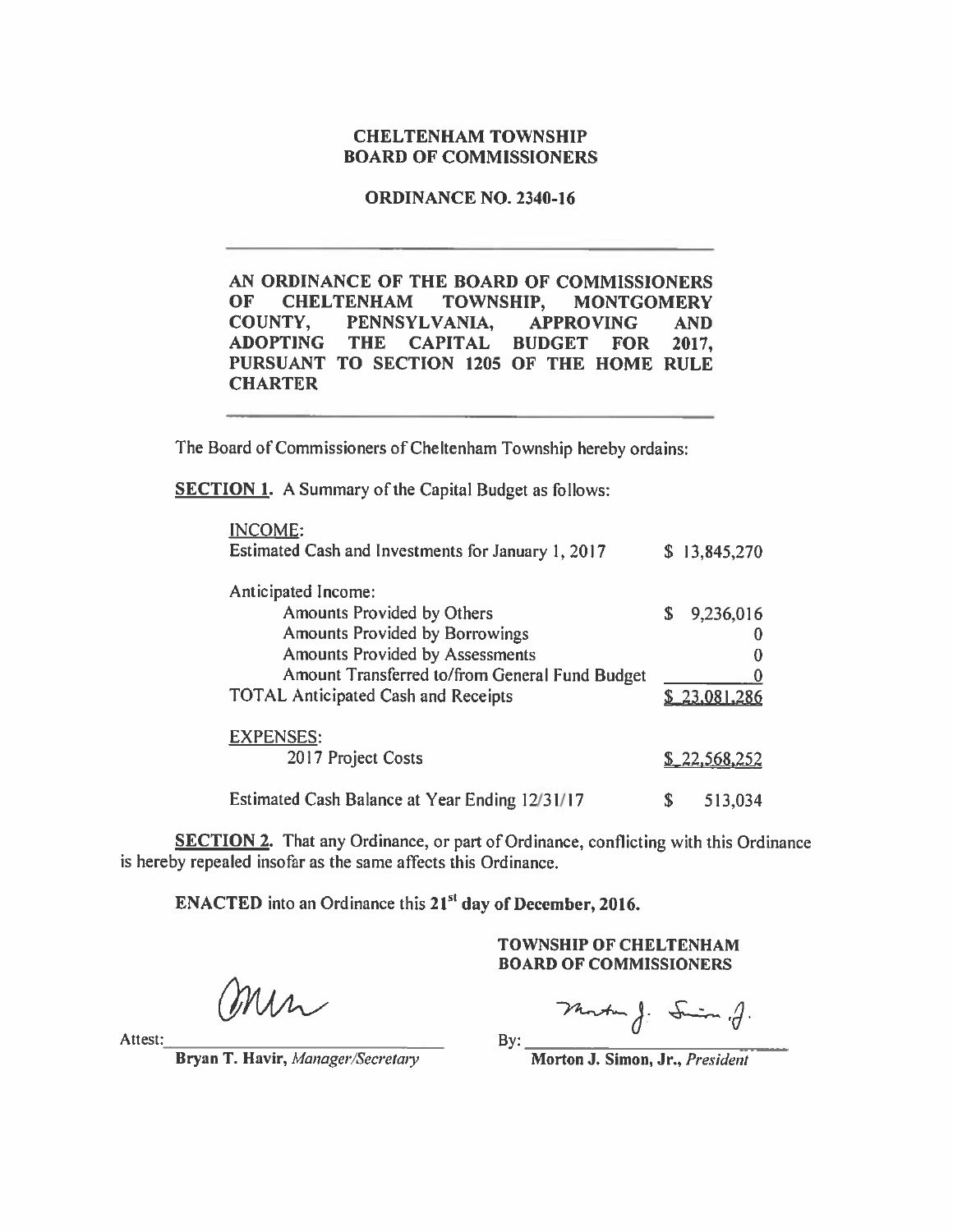#### **CHELTENHAM TOWNSHIP BOARD OF COMMISSIONERS**

**ORDINANCE NO. 2340-16** 

AN ORDINANCE OF THE BOARD OF COMMISSIONERS OF **CHELTENHAM** TOWNSHIP, **MONTGOMERY** PENNSYLVANIA, COUNTY, **APPROVING AND ADOPTING THE CAPITAL BUDGET FOR** 2017. PURSUANT TO SECTION 1205 OF THE HOME RULE **CHARTER** 

The Board of Commissioners of Cheltenham Township hereby ordains:

**SECTION 1.** A Summary of the Capital Budget as follows:

| <b>INCOME:</b><br>Estimated Cash and Investments for January 1, 2017 |    | \$13,845,270        |
|----------------------------------------------------------------------|----|---------------------|
| Anticipated Income:                                                  |    |                     |
| Amounts Provided by Others                                           | S  | 9,236,016           |
| <b>Amounts Provided by Borrowings</b>                                |    |                     |
| <b>Amounts Provided by Assessments</b>                               |    |                     |
| Amount Transferred to/from General Fund Budget                       |    |                     |
| <b>TOTAL Anticipated Cash and Receipts</b>                           |    | \$23,081,286        |
| <b>EXPENSES:</b>                                                     |    |                     |
| 2017 Project Costs                                                   |    | <u>\$22,568,252</u> |
| Estimated Cash Balance at Year Ending 12/31/17                       | S. | 513.034             |

**SECTION 2.** That any Ordinance, or part of Ordinance, conflicting with this Ordinance is hereby repealed insofar as the same affects this Ordinance.

ENACTED into an Ordinance this 21<sup>st</sup> day of December, 2016.

**TOWNSHIP OF CHELTENHAM BOARD OF COMMISSIONERS** 

Mr

Monte J. Simon .J.

Attest:

Bryan T. Havir, Manager/Secretary

By:

Morton J. Simon, Jr., President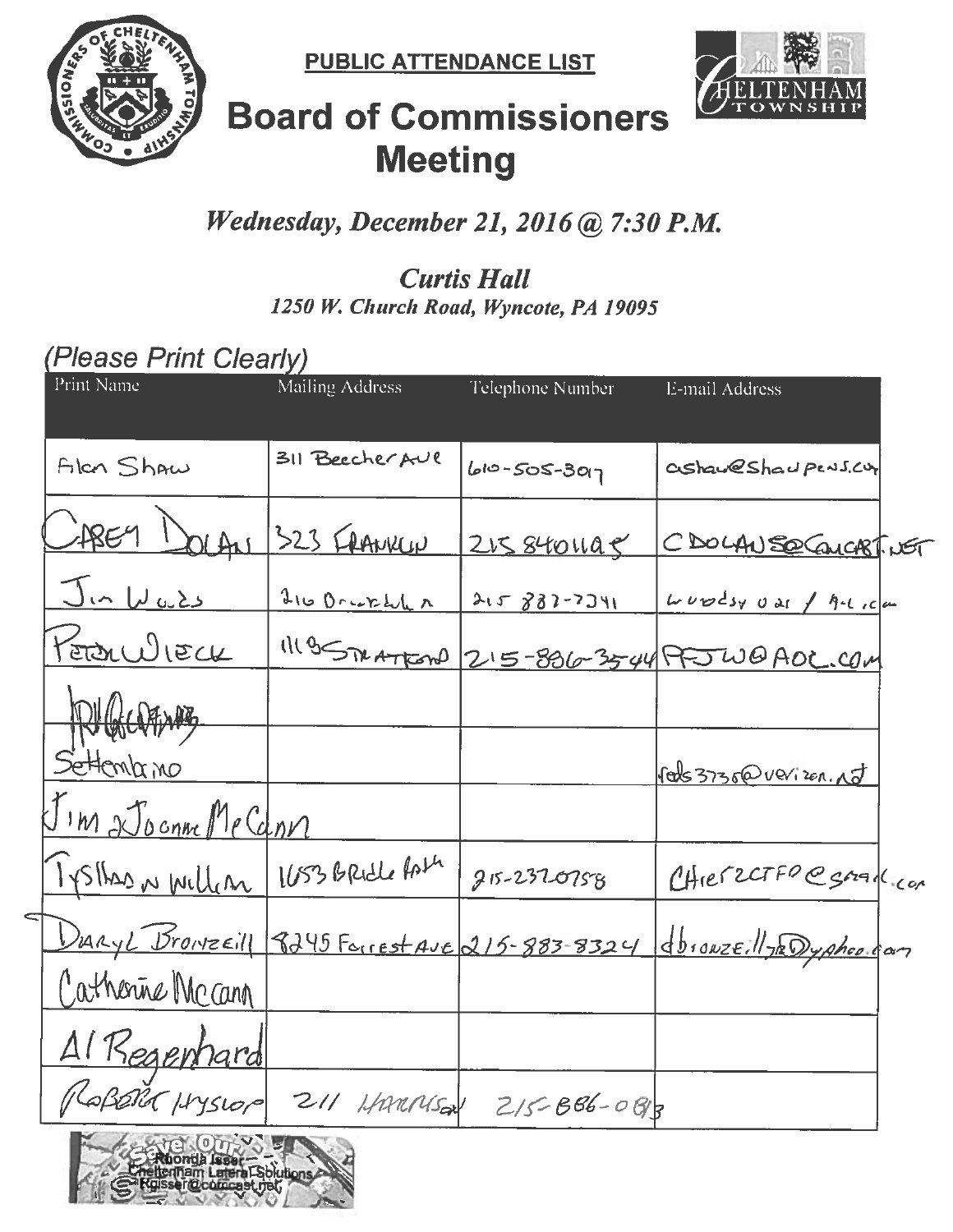

**PUBLIC ATTENDANCE LIST** 



# **Board of Commissioners Meeting**

# Wednesday, December 21, 2016 @ 7:30 P.M.

## **Curtis Hall** 1250 W. Church Road, Wyncote, PA 19095

# (Please Print Clearly)

| Print Name               | Mailing Address                  | Telephone Number   | <b>E-mail Address</b>                                                 |
|--------------------------|----------------------------------|--------------------|-----------------------------------------------------------------------|
| Alon Shaw                | 311 Beecher AUR                  | $60 - 505 - 3017$  | ashaweshaupens.cut                                                    |
| JAREY DOLAN              | 323 FRANKLIN                     | <u>215 8401195</u> | CDOLAN SOCALCASTIVET                                                  |
| <u>Jin Wulds</u>         | 216 Brukhl                       | 215 882-7341       | $L\nu\nu$ $ds\nu$ $v$ as $f$ $h$ - $t$ , $c$ $\mu$                    |
| <u>Peron WIECK</u>       | 11195TXATROND                    |                    | 215-836-35-44 PFJ WO ADC.COM                                          |
| <b>PUGCOFANG</b>         |                                  |                    |                                                                       |
| Settemb <u>rino</u>      |                                  |                    | Pals 3736@ verizon. NJ                                                |
| I'm 2 Joenne Me Cann     |                                  |                    |                                                                       |
|                          | IYSHAD N William 1653 BRidle Ast | $215 - 237 - 0758$ | CHIEFZCTFO@SAALCON                                                    |
| ⊂                        |                                  |                    | Duryl Browzeill 8245 Forrest Ave 215-883-8324 dbrowzeill JRDyphop can |
| Catherine Mccann         |                                  |                    |                                                                       |
| Al Regenhard             |                                  |                    |                                                                       |
|                          | PLABORA HYSLOP 211 HAMMSON       | $215 - 886 - 088$  |                                                                       |
| <b>CANG OUR OF THE A</b> |                                  |                    |                                                                       |